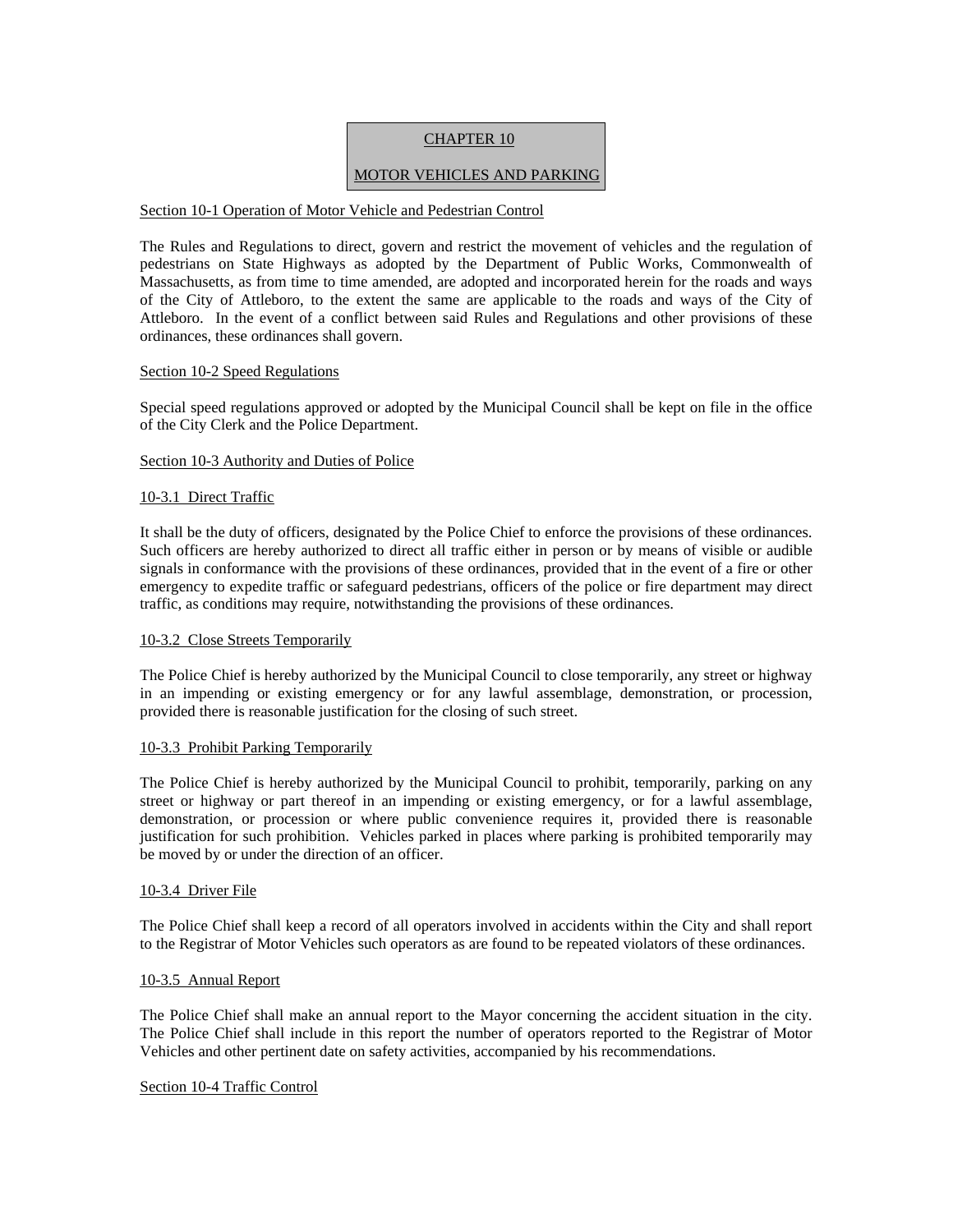# CHAPTER 10

# MOTOR VEHICLES AND PARKING

## Section 10-1 Operation of Motor Vehicle and Pedestrian Control

The Rules and Regulations to direct, govern and restrict the movement of vehicles and the regulation of pedestrians on State Highways as adopted by the Department of Public Works, Commonwealth of Massachusetts, as from time to time amended, are adopted and incorporated herein for the roads and ways of the City of Attleboro, to the extent the same are applicable to the roads and ways of the City of Attleboro. In the event of a conflict between said Rules and Regulations and other provisions of these ordinances, these ordinances shall govern.

## Section 10-2 Speed Regulations

Special speed regulations approved or adopted by the Municipal Council shall be kept on file in the office of the City Clerk and the Police Department.

## Section 10-3 Authority and Duties of Police

## 10-3.1 Direct Traffic

It shall be the duty of officers, designated by the Police Chief to enforce the provisions of these ordinances. Such officers are hereby authorized to direct all traffic either in person or by means of visible or audible signals in conformance with the provisions of these ordinances, provided that in the event of a fire or other emergency to expedite traffic or safeguard pedestrians, officers of the police or fire department may direct traffic, as conditions may require, notwithstanding the provisions of these ordinances.

## 10-3.2 Close Streets Temporarily

The Police Chief is hereby authorized by the Municipal Council to close temporarily, any street or highway in an impending or existing emergency or for any lawful assemblage, demonstration, or procession, provided there is reasonable justification for the closing of such street.

### 10-3.3 Prohibit Parking Temporarily

The Police Chief is hereby authorized by the Municipal Council to prohibit, temporarily, parking on any street or highway or part thereof in an impending or existing emergency, or for a lawful assemblage, demonstration, or procession or where public convenience requires it, provided there is reasonable justification for such prohibition. Vehicles parked in places where parking is prohibited temporarily may be moved by or under the direction of an officer.

### 10-3.4 Driver File

The Police Chief shall keep a record of all operators involved in accidents within the City and shall report to the Registrar of Motor Vehicles such operators as are found to be repeated violators of these ordinances.

### 10-3.5 Annual Report

The Police Chief shall make an annual report to the Mayor concerning the accident situation in the city. The Police Chief shall include in this report the number of operators reported to the Registrar of Motor Vehicles and other pertinent date on safety activities, accompanied by his recommendations.

## Section 10-4 Traffic Control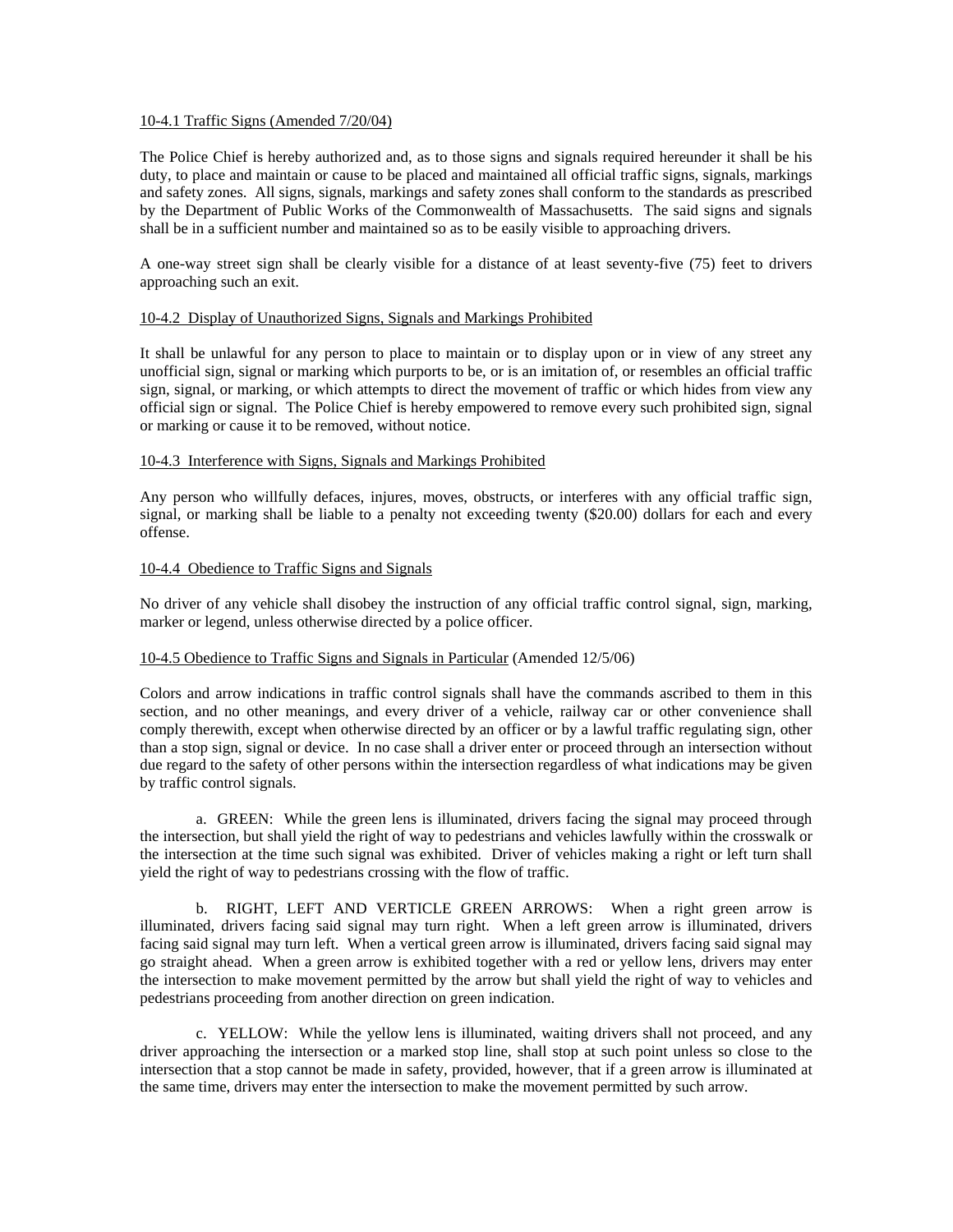### 10-4.1 Traffic Signs (Amended 7/20/04)

The Police Chief is hereby authorized and, as to those signs and signals required hereunder it shall be his duty, to place and maintain or cause to be placed and maintained all official traffic signs, signals, markings and safety zones. All signs, signals, markings and safety zones shall conform to the standards as prescribed by the Department of Public Works of the Commonwealth of Massachusetts. The said signs and signals shall be in a sufficient number and maintained so as to be easily visible to approaching drivers.

A one-way street sign shall be clearly visible for a distance of at least seventy-five (75) feet to drivers approaching such an exit.

### 10-4.2 Display of Unauthorized Signs, Signals and Markings Prohibited

It shall be unlawful for any person to place to maintain or to display upon or in view of any street any unofficial sign, signal or marking which purports to be, or is an imitation of, or resembles an official traffic sign, signal, or marking, or which attempts to direct the movement of traffic or which hides from view any official sign or signal. The Police Chief is hereby empowered to remove every such prohibited sign, signal or marking or cause it to be removed, without notice.

## 10-4.3 Interference with Signs, Signals and Markings Prohibited

Any person who willfully defaces, injures, moves, obstructs, or interferes with any official traffic sign, signal, or marking shall be liable to a penalty not exceeding twenty (\$20.00) dollars for each and every offense.

## 10-4.4 Obedience to Traffic Signs and Signals

No driver of any vehicle shall disobey the instruction of any official traffic control signal, sign, marking, marker or legend, unless otherwise directed by a police officer.

### 10-4.5 Obedience to Traffic Signs and Signals in Particular (Amended 12/5/06)

Colors and arrow indications in traffic control signals shall have the commands ascribed to them in this section, and no other meanings, and every driver of a vehicle, railway car or other convenience shall comply therewith, except when otherwise directed by an officer or by a lawful traffic regulating sign, other than a stop sign, signal or device. In no case shall a driver enter or proceed through an intersection without due regard to the safety of other persons within the intersection regardless of what indications may be given by traffic control signals.

 a. GREEN: While the green lens is illuminated, drivers facing the signal may proceed through the intersection, but shall yield the right of way to pedestrians and vehicles lawfully within the crosswalk or the intersection at the time such signal was exhibited. Driver of vehicles making a right or left turn shall yield the right of way to pedestrians crossing with the flow of traffic.

 b. RIGHT, LEFT AND VERTICLE GREEN ARROWS: When a right green arrow is illuminated, drivers facing said signal may turn right. When a left green arrow is illuminated, drivers facing said signal may turn left. When a vertical green arrow is illuminated, drivers facing said signal may go straight ahead. When a green arrow is exhibited together with a red or yellow lens, drivers may enter the intersection to make movement permitted by the arrow but shall yield the right of way to vehicles and pedestrians proceeding from another direction on green indication.

 c. YELLOW: While the yellow lens is illuminated, waiting drivers shall not proceed, and any driver approaching the intersection or a marked stop line, shall stop at such point unless so close to the intersection that a stop cannot be made in safety, provided, however, that if a green arrow is illuminated at the same time, drivers may enter the intersection to make the movement permitted by such arrow.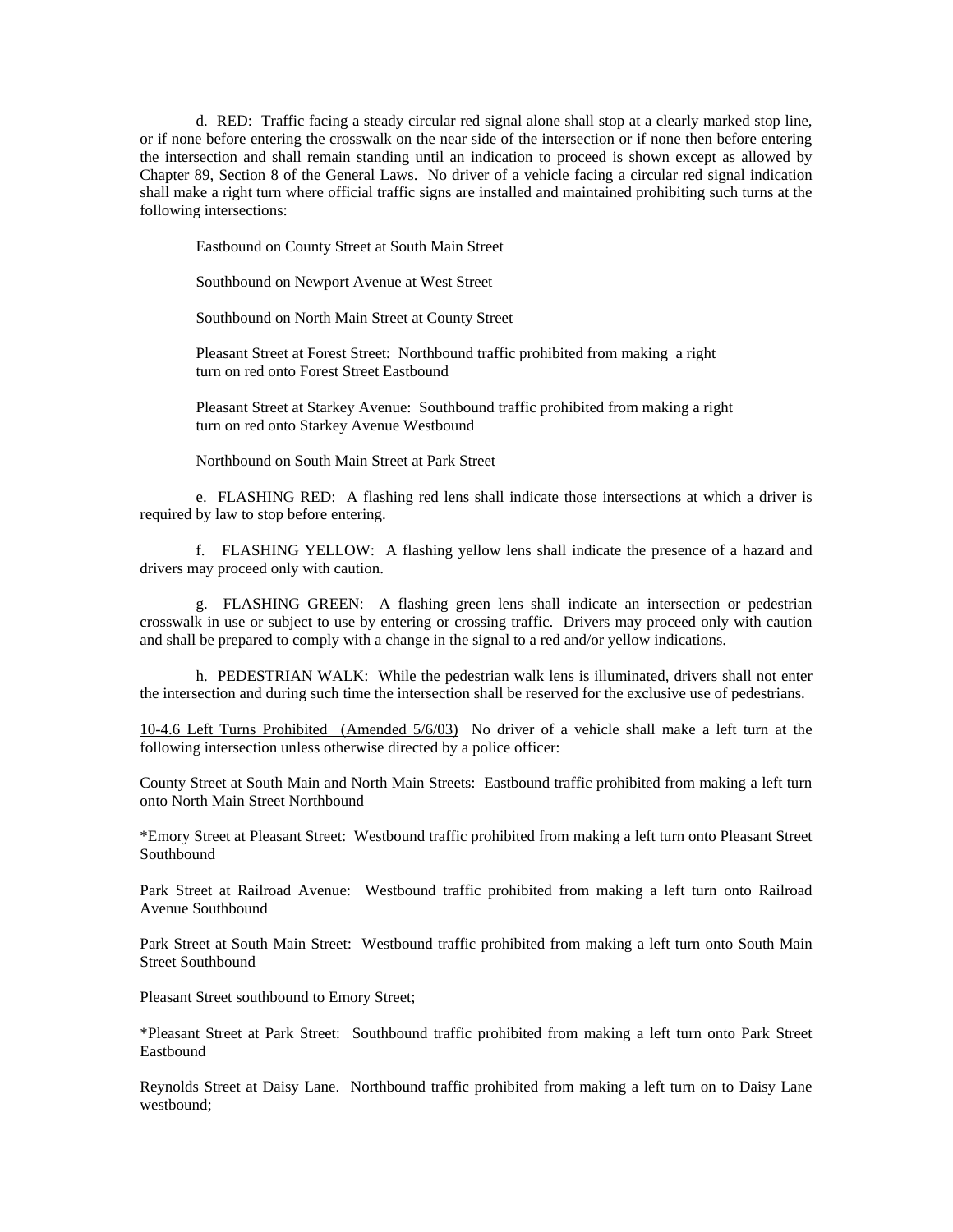d. RED: Traffic facing a steady circular red signal alone shall stop at a clearly marked stop line, or if none before entering the crosswalk on the near side of the intersection or if none then before entering the intersection and shall remain standing until an indication to proceed is shown except as allowed by Chapter 89, Section 8 of the General Laws. No driver of a vehicle facing a circular red signal indication shall make a right turn where official traffic signs are installed and maintained prohibiting such turns at the following intersections:

Eastbound on County Street at South Main Street

Southbound on Newport Avenue at West Street

Southbound on North Main Street at County Street

 Pleasant Street at Forest Street: Northbound traffic prohibited from making a right turn on red onto Forest Street Eastbound

 Pleasant Street at Starkey Avenue: Southbound traffic prohibited from making a right turn on red onto Starkey Avenue Westbound

Northbound on South Main Street at Park Street

 e. FLASHING RED: A flashing red lens shall indicate those intersections at which a driver is required by law to stop before entering.

 f. FLASHING YELLOW: A flashing yellow lens shall indicate the presence of a hazard and drivers may proceed only with caution.

 g. FLASHING GREEN: A flashing green lens shall indicate an intersection or pedestrian crosswalk in use or subject to use by entering or crossing traffic. Drivers may proceed only with caution and shall be prepared to comply with a change in the signal to a red and/or yellow indications.

 h. PEDESTRIAN WALK: While the pedestrian walk lens is illuminated, drivers shall not enter the intersection and during such time the intersection shall be reserved for the exclusive use of pedestrians.

10-4.6 Left Turns Prohibited (Amended 5/6/03) No driver of a vehicle shall make a left turn at the following intersection unless otherwise directed by a police officer:

County Street at South Main and North Main Streets: Eastbound traffic prohibited from making a left turn onto North Main Street Northbound

\*Emory Street at Pleasant Street: Westbound traffic prohibited from making a left turn onto Pleasant Street Southbound

Park Street at Railroad Avenue: Westbound traffic prohibited from making a left turn onto Railroad Avenue Southbound

Park Street at South Main Street: Westbound traffic prohibited from making a left turn onto South Main Street Southbound

Pleasant Street southbound to Emory Street;

\*Pleasant Street at Park Street: Southbound traffic prohibited from making a left turn onto Park Street Eastbound

Reynolds Street at Daisy Lane. Northbound traffic prohibited from making a left turn on to Daisy Lane westbound;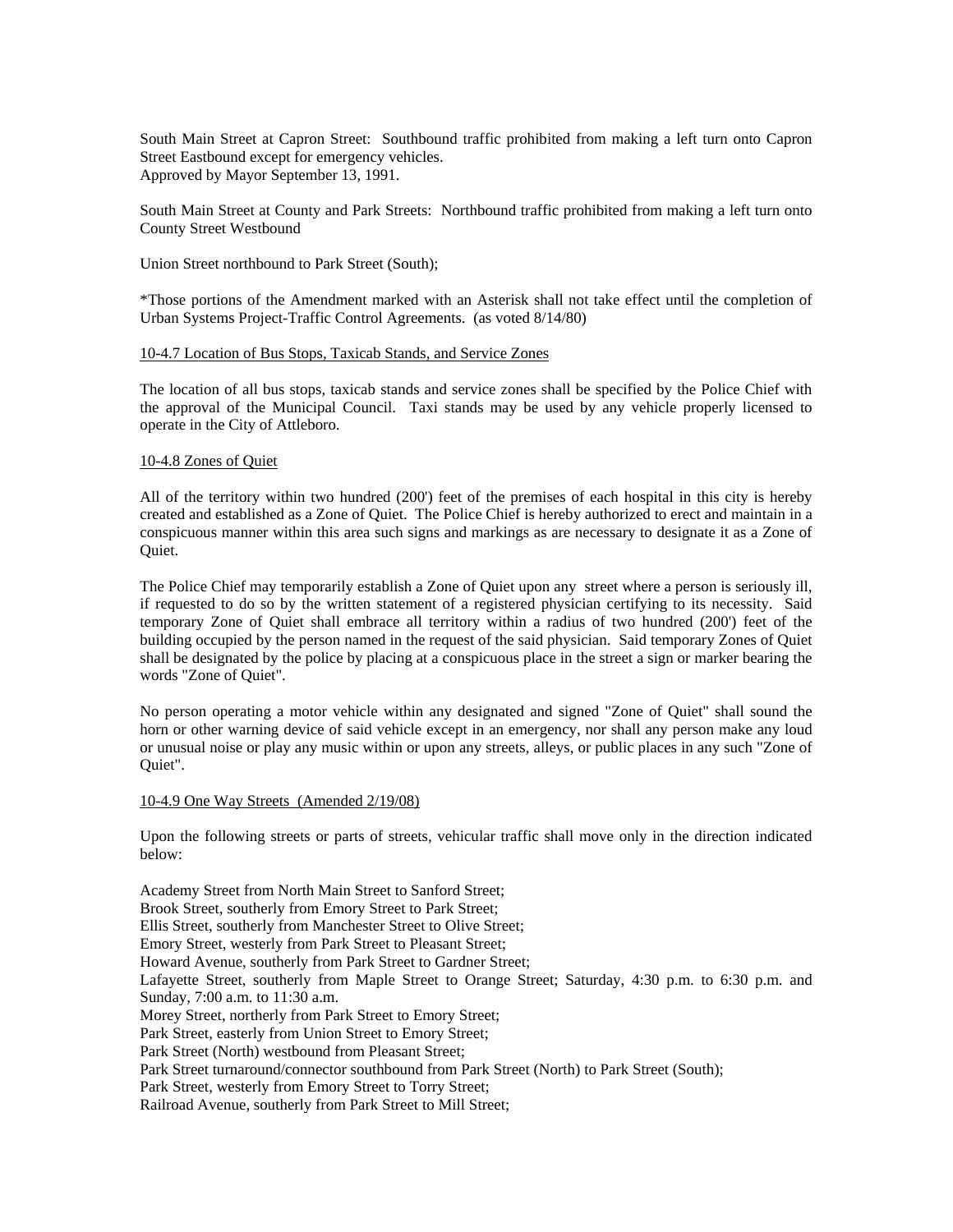South Main Street at Capron Street: Southbound traffic prohibited from making a left turn onto Capron Street Eastbound except for emergency vehicles. Approved by Mayor September 13, 1991.

South Main Street at County and Park Streets: Northbound traffic prohibited from making a left turn onto County Street Westbound

Union Street northbound to Park Street (South);

\*Those portions of the Amendment marked with an Asterisk shall not take effect until the completion of Urban Systems Project-Traffic Control Agreements. (as voted 8/14/80)

## 10-4.7 Location of Bus Stops, Taxicab Stands, and Service Zones

The location of all bus stops, taxicab stands and service zones shall be specified by the Police Chief with the approval of the Municipal Council. Taxi stands may be used by any vehicle properly licensed to operate in the City of Attleboro.

### 10-4.8 Zones of Quiet

All of the territory within two hundred (200') feet of the premises of each hospital in this city is hereby created and established as a Zone of Quiet. The Police Chief is hereby authorized to erect and maintain in a conspicuous manner within this area such signs and markings as are necessary to designate it as a Zone of Quiet.

The Police Chief may temporarily establish a Zone of Quiet upon any street where a person is seriously ill, if requested to do so by the written statement of a registered physician certifying to its necessity. Said temporary Zone of Quiet shall embrace all territory within a radius of two hundred (200') feet of the building occupied by the person named in the request of the said physician. Said temporary Zones of Quiet shall be designated by the police by placing at a conspicuous place in the street a sign or marker bearing the words "Zone of Quiet".

No person operating a motor vehicle within any designated and signed "Zone of Quiet" shall sound the horn or other warning device of said vehicle except in an emergency, nor shall any person make any loud or unusual noise or play any music within or upon any streets, alleys, or public places in any such "Zone of Quiet".

### 10-4.9 One Way Streets (Amended 2/19/08)

Upon the following streets or parts of streets, vehicular traffic shall move only in the direction indicated below:

Academy Street from North Main Street to Sanford Street; Brook Street, southerly from Emory Street to Park Street; Ellis Street, southerly from Manchester Street to Olive Street; Emory Street, westerly from Park Street to Pleasant Street; Howard Avenue, southerly from Park Street to Gardner Street; Lafayette Street, southerly from Maple Street to Orange Street; Saturday, 4:30 p.m. to 6:30 p.m. and Sunday, 7:00 a.m. to 11:30 a.m. Morey Street, northerly from Park Street to Emory Street; Park Street, easterly from Union Street to Emory Street; Park Street (North) westbound from Pleasant Street; Park Street turnaround/connector southbound from Park Street (North) to Park Street (South); Park Street, westerly from Emory Street to Torry Street; Railroad Avenue, southerly from Park Street to Mill Street;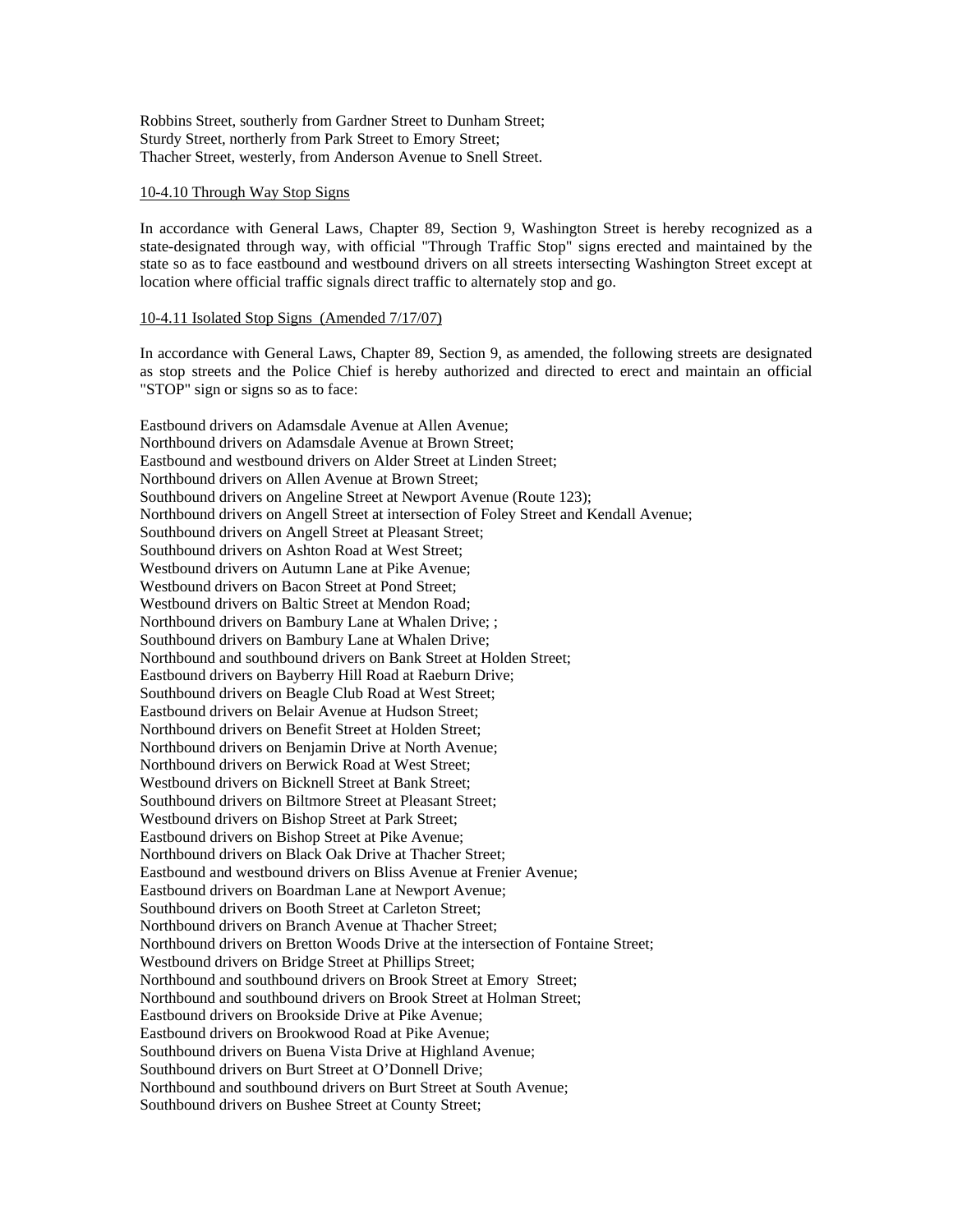Robbins Street, southerly from Gardner Street to Dunham Street; Sturdy Street, northerly from Park Street to Emory Street; Thacher Street, westerly, from Anderson Avenue to Snell Street.

### 10-4.10 Through Way Stop Signs

In accordance with General Laws, Chapter 89, Section 9, Washington Street is hereby recognized as a state-designated through way, with official "Through Traffic Stop" signs erected and maintained by the state so as to face eastbound and westbound drivers on all streets intersecting Washington Street except at location where official traffic signals direct traffic to alternately stop and go.

### 10-4.11 Isolated Stop Signs (Amended 7/17/07)

In accordance with General Laws, Chapter 89, Section 9, as amended, the following streets are designated as stop streets and the Police Chief is hereby authorized and directed to erect and maintain an official "STOP" sign or signs so as to face:

Eastbound drivers on Adamsdale Avenue at Allen Avenue; Northbound drivers on Adamsdale Avenue at Brown Street; Eastbound and westbound drivers on Alder Street at Linden Street; Northbound drivers on Allen Avenue at Brown Street; Southbound drivers on Angeline Street at Newport Avenue (Route 123); Northbound drivers on Angell Street at intersection of Foley Street and Kendall Avenue; Southbound drivers on Angell Street at Pleasant Street; Southbound drivers on Ashton Road at West Street; Westbound drivers on Autumn Lane at Pike Avenue; Westbound drivers on Bacon Street at Pond Street; Westbound drivers on Baltic Street at Mendon Road; Northbound drivers on Bambury Lane at Whalen Drive; ; Southbound drivers on Bambury Lane at Whalen Drive; Northbound and southbound drivers on Bank Street at Holden Street; Eastbound drivers on Bayberry Hill Road at Raeburn Drive; Southbound drivers on Beagle Club Road at West Street; Eastbound drivers on Belair Avenue at Hudson Street; Northbound drivers on Benefit Street at Holden Street; Northbound drivers on Benjamin Drive at North Avenue; Northbound drivers on Berwick Road at West Street; Westbound drivers on Bicknell Street at Bank Street; Southbound drivers on Biltmore Street at Pleasant Street; Westbound drivers on Bishop Street at Park Street; Eastbound drivers on Bishop Street at Pike Avenue; Northbound drivers on Black Oak Drive at Thacher Street; Eastbound and westbound drivers on Bliss Avenue at Frenier Avenue; Eastbound drivers on Boardman Lane at Newport Avenue; Southbound drivers on Booth Street at Carleton Street; Northbound drivers on Branch Avenue at Thacher Street; Northbound drivers on Bretton Woods Drive at the intersection of Fontaine Street; Westbound drivers on Bridge Street at Phillips Street; Northbound and southbound drivers on Brook Street at Emory Street; Northbound and southbound drivers on Brook Street at Holman Street; Eastbound drivers on Brookside Drive at Pike Avenue; Eastbound drivers on Brookwood Road at Pike Avenue; Southbound drivers on Buena Vista Drive at Highland Avenue; Southbound drivers on Burt Street at O'Donnell Drive; Northbound and southbound drivers on Burt Street at South Avenue; Southbound drivers on Bushee Street at County Street;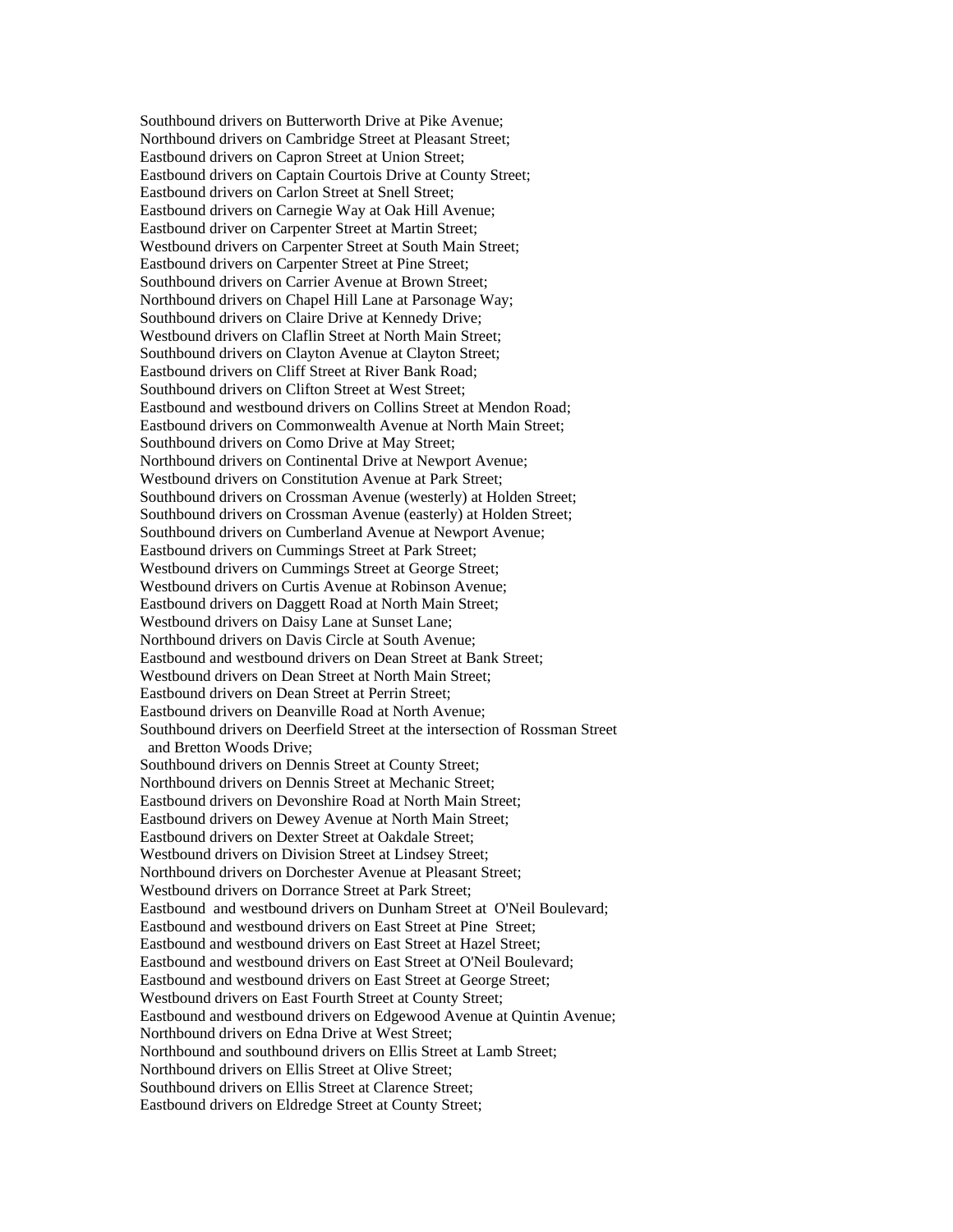Southbound drivers on Butterworth Drive at Pike Avenue; Northbound drivers on Cambridge Street at Pleasant Street; Eastbound drivers on Capron Street at Union Street; Eastbound drivers on Captain Courtois Drive at County Street; Eastbound drivers on Carlon Street at Snell Street; Eastbound drivers on Carnegie Way at Oak Hill Avenue; Eastbound driver on Carpenter Street at Martin Street; Westbound drivers on Carpenter Street at South Main Street; Eastbound drivers on Carpenter Street at Pine Street; Southbound drivers on Carrier Avenue at Brown Street; Northbound drivers on Chapel Hill Lane at Parsonage Way; Southbound drivers on Claire Drive at Kennedy Drive; Westbound drivers on Claflin Street at North Main Street; Southbound drivers on Clayton Avenue at Clayton Street; Eastbound drivers on Cliff Street at River Bank Road; Southbound drivers on Clifton Street at West Street; Eastbound and westbound drivers on Collins Street at Mendon Road; Eastbound drivers on Commonwealth Avenue at North Main Street; Southbound drivers on Como Drive at May Street; Northbound drivers on Continental Drive at Newport Avenue; Westbound drivers on Constitution Avenue at Park Street; Southbound drivers on Crossman Avenue (westerly) at Holden Street; Southbound drivers on Crossman Avenue (easterly) at Holden Street; Southbound drivers on Cumberland Avenue at Newport Avenue; Eastbound drivers on Cummings Street at Park Street; Westbound drivers on Cummings Street at George Street; Westbound drivers on Curtis Avenue at Robinson Avenue; Eastbound drivers on Daggett Road at North Main Street; Westbound drivers on Daisy Lane at Sunset Lane; Northbound drivers on Davis Circle at South Avenue; Eastbound and westbound drivers on Dean Street at Bank Street: Westbound drivers on Dean Street at North Main Street; Eastbound drivers on Dean Street at Perrin Street; Eastbound drivers on Deanville Road at North Avenue; Southbound drivers on Deerfield Street at the intersection of Rossman Street and Bretton Woods Drive; Southbound drivers on Dennis Street at County Street; Northbound drivers on Dennis Street at Mechanic Street; Eastbound drivers on Devonshire Road at North Main Street; Eastbound drivers on Dewey Avenue at North Main Street; Eastbound drivers on Dexter Street at Oakdale Street; Westbound drivers on Division Street at Lindsey Street; Northbound drivers on Dorchester Avenue at Pleasant Street; Westbound drivers on Dorrance Street at Park Street; Eastbound and westbound drivers on Dunham Street at O'Neil Boulevard; Eastbound and westbound drivers on East Street at Pine Street; Eastbound and westbound drivers on East Street at Hazel Street; Eastbound and westbound drivers on East Street at O'Neil Boulevard; Eastbound and westbound drivers on East Street at George Street; Westbound drivers on East Fourth Street at County Street; Eastbound and westbound drivers on Edgewood Avenue at Quintin Avenue; Northbound drivers on Edna Drive at West Street; Northbound and southbound drivers on Ellis Street at Lamb Street; Northbound drivers on Ellis Street at Olive Street; Southbound drivers on Ellis Street at Clarence Street; Eastbound drivers on Eldredge Street at County Street;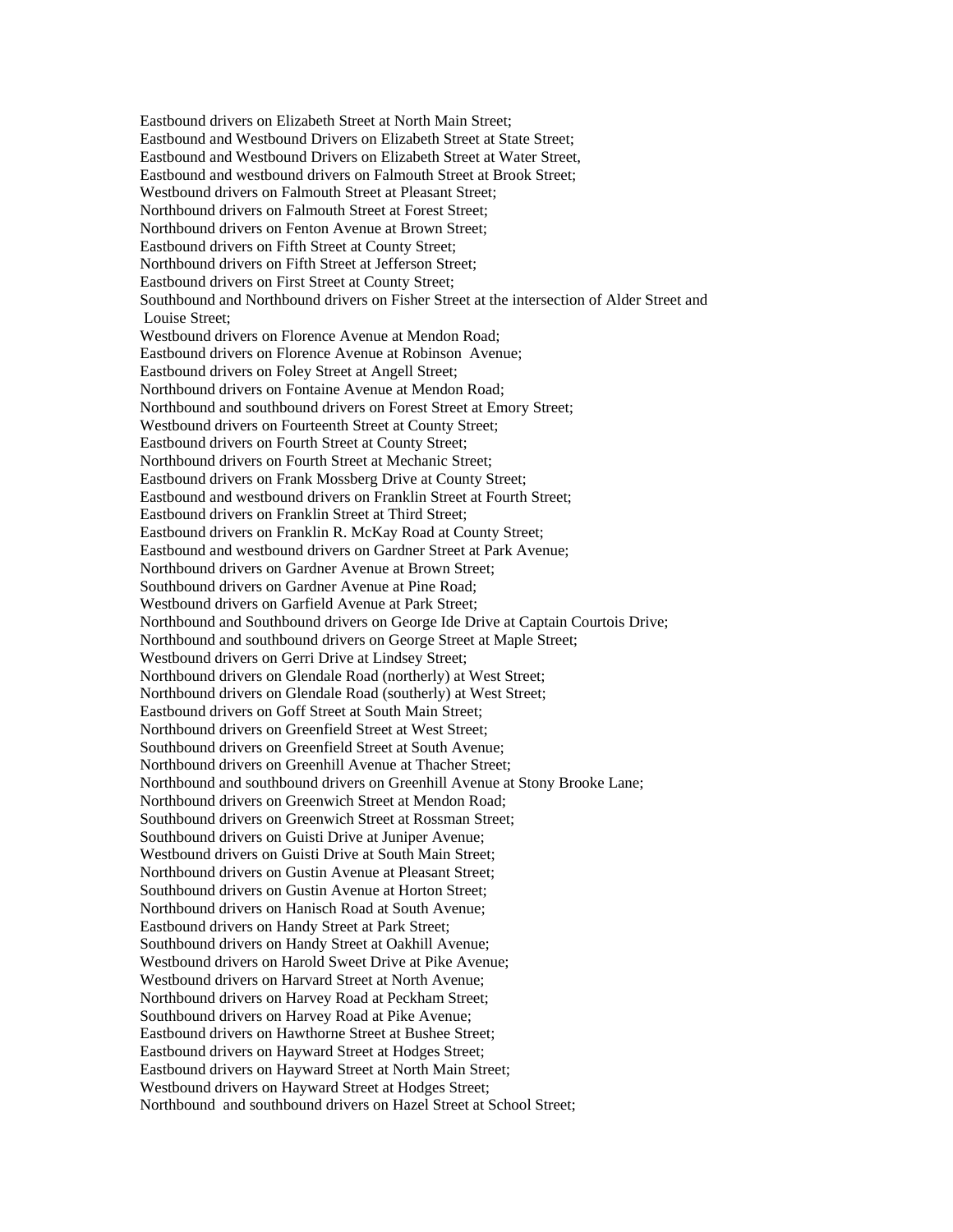Eastbound drivers on Elizabeth Street at North Main Street; Eastbound and Westbound Drivers on Elizabeth Street at State Street; Eastbound and Westbound Drivers on Elizabeth Street at Water Street, Eastbound and westbound drivers on Falmouth Street at Brook Street; Westbound drivers on Falmouth Street at Pleasant Street; Northbound drivers on Falmouth Street at Forest Street; Northbound drivers on Fenton Avenue at Brown Street; Eastbound drivers on Fifth Street at County Street; Northbound drivers on Fifth Street at Jefferson Street; Eastbound drivers on First Street at County Street; Southbound and Northbound drivers on Fisher Street at the intersection of Alder Street and Louise Street; Westbound drivers on Florence Avenue at Mendon Road; Eastbound drivers on Florence Avenue at Robinson Avenue; Eastbound drivers on Foley Street at Angell Street; Northbound drivers on Fontaine Avenue at Mendon Road; Northbound and southbound drivers on Forest Street at Emory Street; Westbound drivers on Fourteenth Street at County Street; Eastbound drivers on Fourth Street at County Street; Northbound drivers on Fourth Street at Mechanic Street; Eastbound drivers on Frank Mossberg Drive at County Street; Eastbound and westbound drivers on Franklin Street at Fourth Street; Eastbound drivers on Franklin Street at Third Street; Eastbound drivers on Franklin R. McKay Road at County Street; Eastbound and westbound drivers on Gardner Street at Park Avenue; Northbound drivers on Gardner Avenue at Brown Street; Southbound drivers on Gardner Avenue at Pine Road; Westbound drivers on Garfield Avenue at Park Street; Northbound and Southbound drivers on George Ide Drive at Captain Courtois Drive; Northbound and southbound drivers on George Street at Maple Street; Westbound drivers on Gerri Drive at Lindsey Street; Northbound drivers on Glendale Road (northerly) at West Street; Northbound drivers on Glendale Road (southerly) at West Street; Eastbound drivers on Goff Street at South Main Street; Northbound drivers on Greenfield Street at West Street; Southbound drivers on Greenfield Street at South Avenue; Northbound drivers on Greenhill Avenue at Thacher Street; Northbound and southbound drivers on Greenhill Avenue at Stony Brooke Lane; Northbound drivers on Greenwich Street at Mendon Road; Southbound drivers on Greenwich Street at Rossman Street; Southbound drivers on Guisti Drive at Juniper Avenue; Westbound drivers on Guisti Drive at South Main Street; Northbound drivers on Gustin Avenue at Pleasant Street; Southbound drivers on Gustin Avenue at Horton Street; Northbound drivers on Hanisch Road at South Avenue; Eastbound drivers on Handy Street at Park Street; Southbound drivers on Handy Street at Oakhill Avenue; Westbound drivers on Harold Sweet Drive at Pike Avenue; Westbound drivers on Harvard Street at North Avenue; Northbound drivers on Harvey Road at Peckham Street; Southbound drivers on Harvey Road at Pike Avenue; Eastbound drivers on Hawthorne Street at Bushee Street; Eastbound drivers on Hayward Street at Hodges Street; Eastbound drivers on Hayward Street at North Main Street; Westbound drivers on Hayward Street at Hodges Street; Northbound and southbound drivers on Hazel Street at School Street;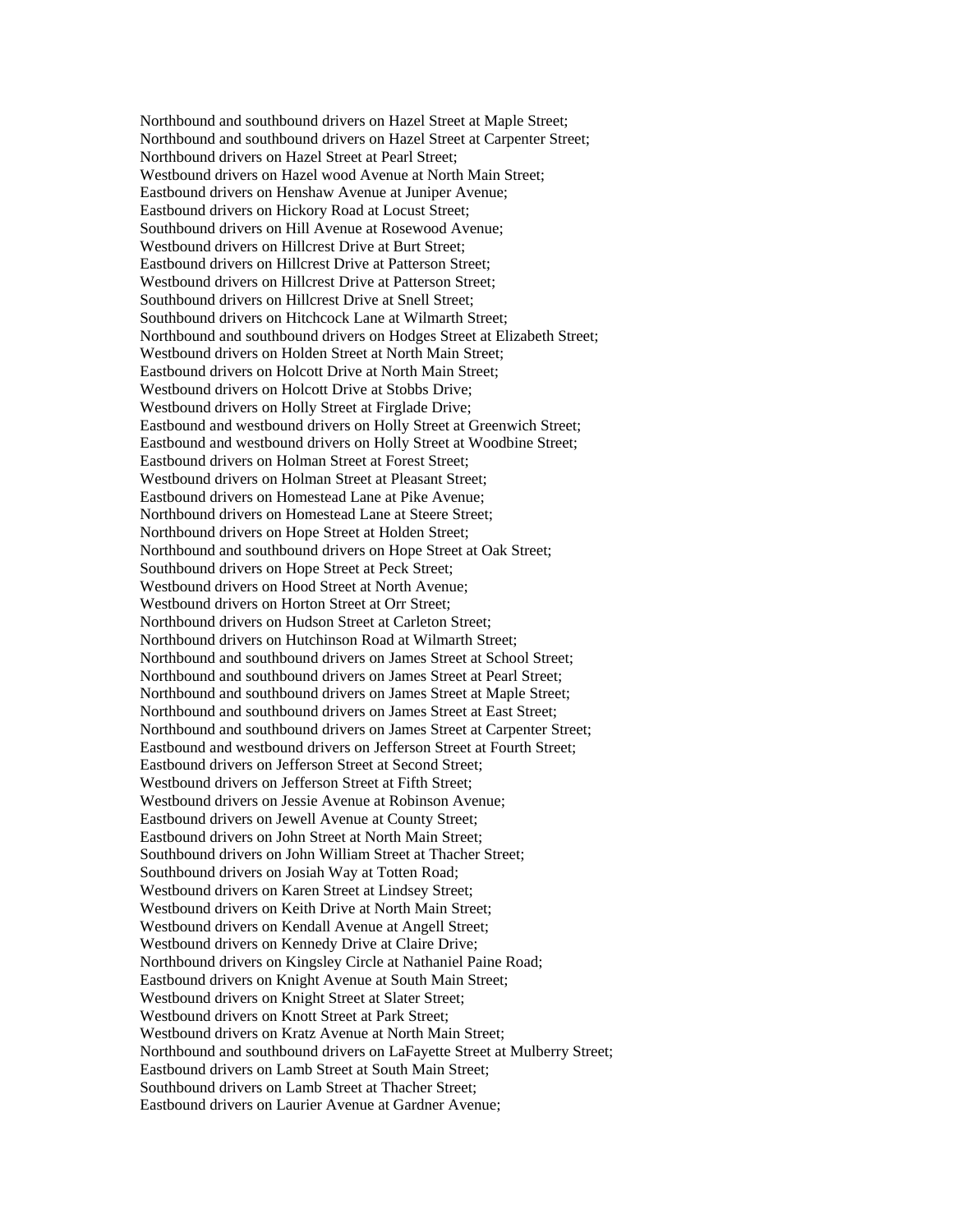Northbound and southbound drivers on Hazel Street at Maple Street; Northbound and southbound drivers on Hazel Street at Carpenter Street; Northbound drivers on Hazel Street at Pearl Street; Westbound drivers on Hazel wood Avenue at North Main Street; Eastbound drivers on Henshaw Avenue at Juniper Avenue; Eastbound drivers on Hickory Road at Locust Street; Southbound drivers on Hill Avenue at Rosewood Avenue; Westbound drivers on Hillcrest Drive at Burt Street; Eastbound drivers on Hillcrest Drive at Patterson Street; Westbound drivers on Hillcrest Drive at Patterson Street; Southbound drivers on Hillcrest Drive at Snell Street; Southbound drivers on Hitchcock Lane at Wilmarth Street; Northbound and southbound drivers on Hodges Street at Elizabeth Street; Westbound drivers on Holden Street at North Main Street; Eastbound drivers on Holcott Drive at North Main Street; Westbound drivers on Holcott Drive at Stobbs Drive; Westbound drivers on Holly Street at Firglade Drive; Eastbound and westbound drivers on Holly Street at Greenwich Street; Eastbound and westbound drivers on Holly Street at Woodbine Street; Eastbound drivers on Holman Street at Forest Street; Westbound drivers on Holman Street at Pleasant Street; Eastbound drivers on Homestead Lane at Pike Avenue; Northbound drivers on Homestead Lane at Steere Street; Northbound drivers on Hope Street at Holden Street; Northbound and southbound drivers on Hope Street at Oak Street; Southbound drivers on Hope Street at Peck Street; Westbound drivers on Hood Street at North Avenue; Westbound drivers on Horton Street at Orr Street: Northbound drivers on Hudson Street at Carleton Street; Northbound drivers on Hutchinson Road at Wilmarth Street; Northbound and southbound drivers on James Street at School Street; Northbound and southbound drivers on James Street at Pearl Street; Northbound and southbound drivers on James Street at Maple Street; Northbound and southbound drivers on James Street at East Street; Northbound and southbound drivers on James Street at Carpenter Street; Eastbound and westbound drivers on Jefferson Street at Fourth Street; Eastbound drivers on Jefferson Street at Second Street; Westbound drivers on Jefferson Street at Fifth Street; Westbound drivers on Jessie Avenue at Robinson Avenue; Eastbound drivers on Jewell Avenue at County Street; Eastbound drivers on John Street at North Main Street; Southbound drivers on John William Street at Thacher Street; Southbound drivers on Josiah Way at Totten Road; Westbound drivers on Karen Street at Lindsey Street; Westbound drivers on Keith Drive at North Main Street; Westbound drivers on Kendall Avenue at Angell Street; Westbound drivers on Kennedy Drive at Claire Drive; Northbound drivers on Kingsley Circle at Nathaniel Paine Road; Eastbound drivers on Knight Avenue at South Main Street; Westbound drivers on Knight Street at Slater Street; Westbound drivers on Knott Street at Park Street: Westbound drivers on Kratz Avenue at North Main Street; Northbound and southbound drivers on LaFayette Street at Mulberry Street; Eastbound drivers on Lamb Street at South Main Street; Southbound drivers on Lamb Street at Thacher Street; Eastbound drivers on Laurier Avenue at Gardner Avenue;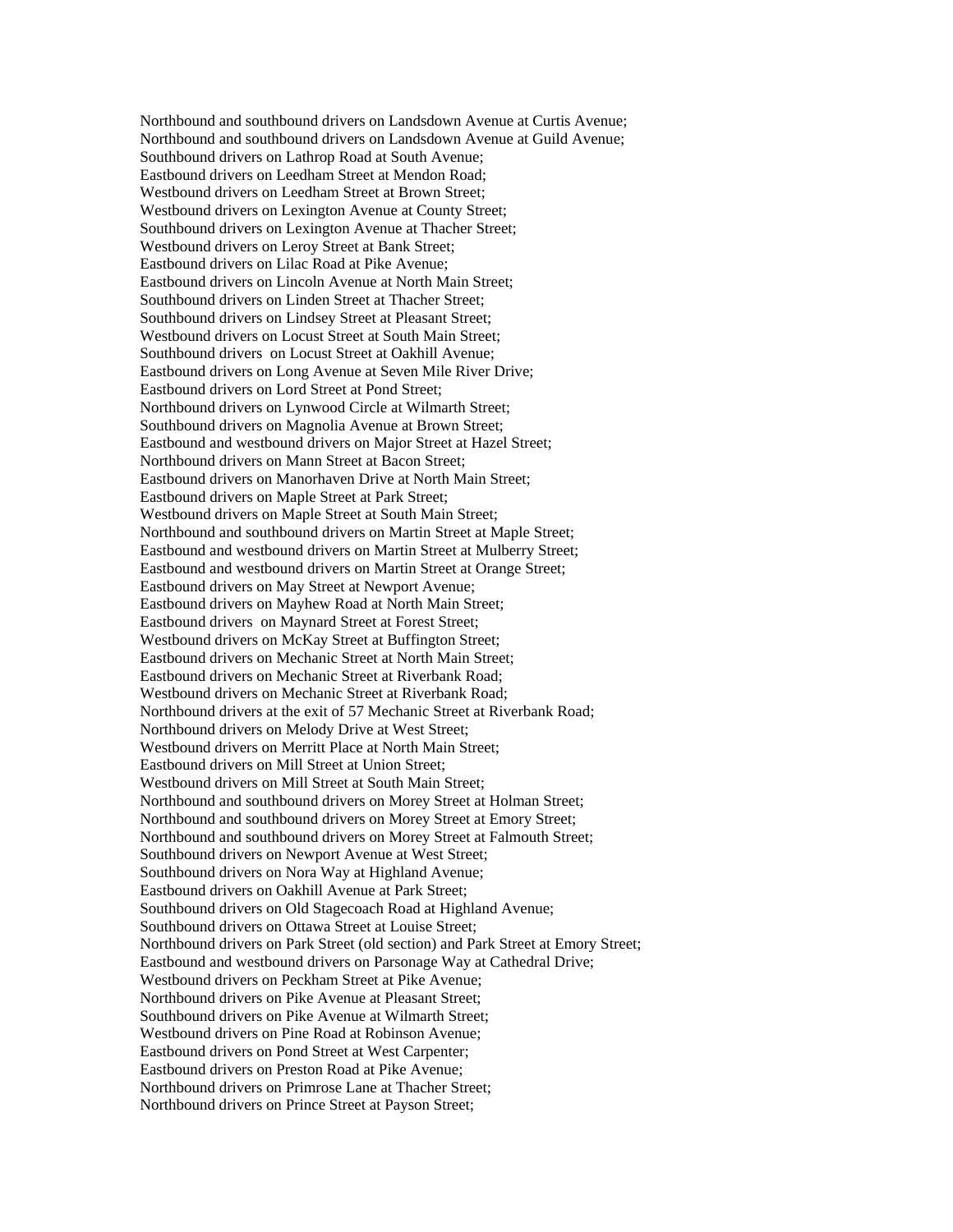Northbound and southbound drivers on Landsdown Avenue at Curtis Avenue; Northbound and southbound drivers on Landsdown Avenue at Guild Avenue; Southbound drivers on Lathrop Road at South Avenue; Eastbound drivers on Leedham Street at Mendon Road; Westbound drivers on Leedham Street at Brown Street; Westbound drivers on Lexington Avenue at County Street; Southbound drivers on Lexington Avenue at Thacher Street; Westbound drivers on Leroy Street at Bank Street; Eastbound drivers on Lilac Road at Pike Avenue; Eastbound drivers on Lincoln Avenue at North Main Street; Southbound drivers on Linden Street at Thacher Street; Southbound drivers on Lindsey Street at Pleasant Street; Westbound drivers on Locust Street at South Main Street; Southbound drivers on Locust Street at Oakhill Avenue; Eastbound drivers on Long Avenue at Seven Mile River Drive; Eastbound drivers on Lord Street at Pond Street; Northbound drivers on Lynwood Circle at Wilmarth Street; Southbound drivers on Magnolia Avenue at Brown Street; Eastbound and westbound drivers on Major Street at Hazel Street; Northbound drivers on Mann Street at Bacon Street; Eastbound drivers on Manorhaven Drive at North Main Street; Eastbound drivers on Maple Street at Park Street; Westbound drivers on Maple Street at South Main Street; Northbound and southbound drivers on Martin Street at Maple Street; Eastbound and westbound drivers on Martin Street at Mulberry Street; Eastbound and westbound drivers on Martin Street at Orange Street; Eastbound drivers on May Street at Newport Avenue; Eastbound drivers on Mayhew Road at North Main Street; Eastbound drivers on Maynard Street at Forest Street; Westbound drivers on McKay Street at Buffington Street; Eastbound drivers on Mechanic Street at North Main Street; Eastbound drivers on Mechanic Street at Riverbank Road; Westbound drivers on Mechanic Street at Riverbank Road; Northbound drivers at the exit of 57 Mechanic Street at Riverbank Road; Northbound drivers on Melody Drive at West Street; Westbound drivers on Merritt Place at North Main Street; Eastbound drivers on Mill Street at Union Street; Westbound drivers on Mill Street at South Main Street; Northbound and southbound drivers on Morey Street at Holman Street; Northbound and southbound drivers on Morey Street at Emory Street; Northbound and southbound drivers on Morey Street at Falmouth Street; Southbound drivers on Newport Avenue at West Street; Southbound drivers on Nora Way at Highland Avenue; Eastbound drivers on Oakhill Avenue at Park Street; Southbound drivers on Old Stagecoach Road at Highland Avenue; Southbound drivers on Ottawa Street at Louise Street; Northbound drivers on Park Street (old section) and Park Street at Emory Street; Eastbound and westbound drivers on Parsonage Way at Cathedral Drive; Westbound drivers on Peckham Street at Pike Avenue; Northbound drivers on Pike Avenue at Pleasant Street; Southbound drivers on Pike Avenue at Wilmarth Street; Westbound drivers on Pine Road at Robinson Avenue; Eastbound drivers on Pond Street at West Carpenter; Eastbound drivers on Preston Road at Pike Avenue; Northbound drivers on Primrose Lane at Thacher Street; Northbound drivers on Prince Street at Payson Street;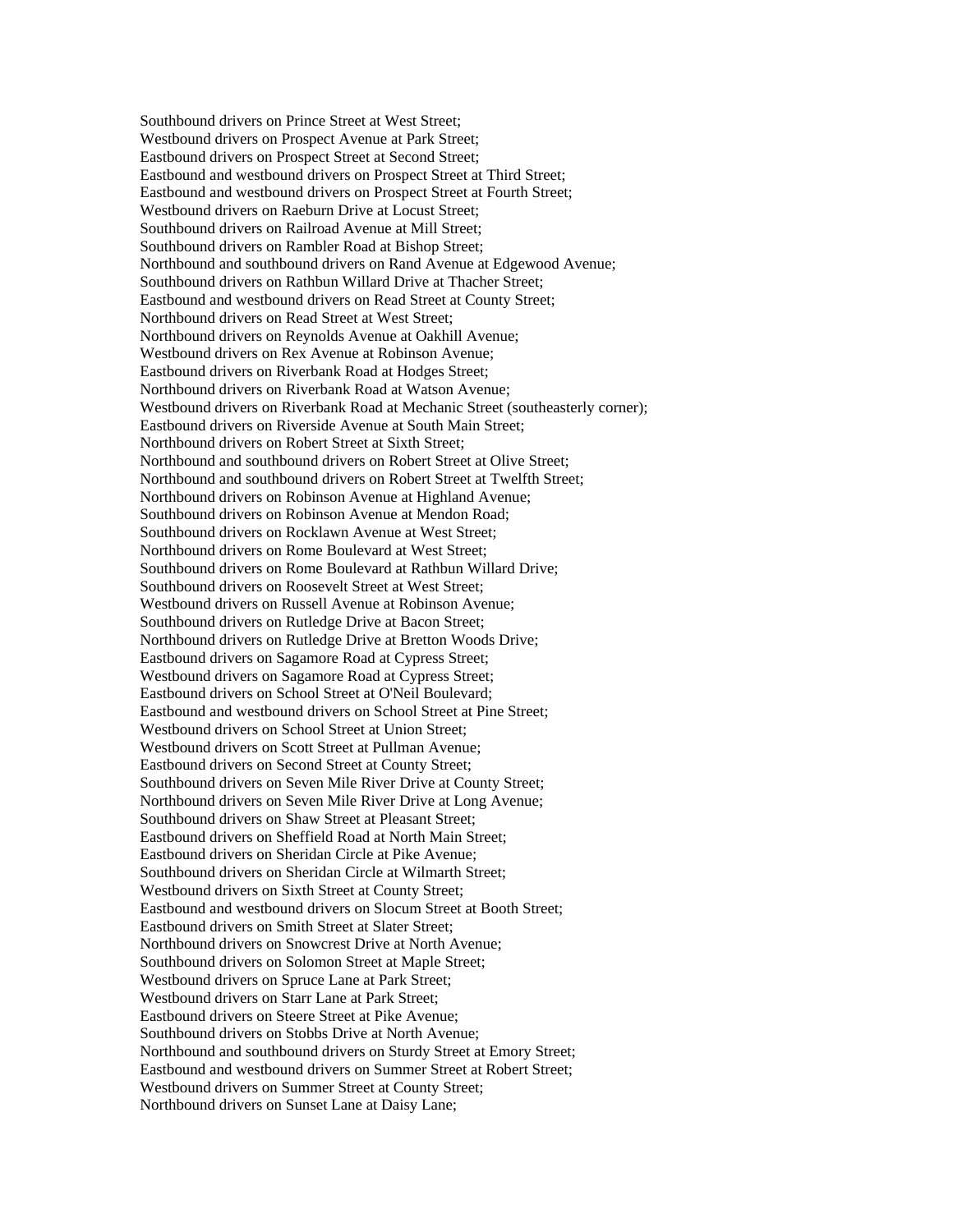Southbound drivers on Prince Street at West Street; Westbound drivers on Prospect Avenue at Park Street; Eastbound drivers on Prospect Street at Second Street; Eastbound and westbound drivers on Prospect Street at Third Street; Eastbound and westbound drivers on Prospect Street at Fourth Street; Westbound drivers on Raeburn Drive at Locust Street; Southbound drivers on Railroad Avenue at Mill Street; Southbound drivers on Rambler Road at Bishop Street; Northbound and southbound drivers on Rand Avenue at Edgewood Avenue; Southbound drivers on Rathbun Willard Drive at Thacher Street; Eastbound and westbound drivers on Read Street at County Street; Northbound drivers on Read Street at West Street; Northbound drivers on Reynolds Avenue at Oakhill Avenue; Westbound drivers on Rex Avenue at Robinson Avenue; Eastbound drivers on Riverbank Road at Hodges Street; Northbound drivers on Riverbank Road at Watson Avenue; Westbound drivers on Riverbank Road at Mechanic Street (southeasterly corner); Eastbound drivers on Riverside Avenue at South Main Street; Northbound drivers on Robert Street at Sixth Street; Northbound and southbound drivers on Robert Street at Olive Street; Northbound and southbound drivers on Robert Street at Twelfth Street; Northbound drivers on Robinson Avenue at Highland Avenue; Southbound drivers on Robinson Avenue at Mendon Road; Southbound drivers on Rocklawn Avenue at West Street; Northbound drivers on Rome Boulevard at West Street; Southbound drivers on Rome Boulevard at Rathbun Willard Drive; Southbound drivers on Roosevelt Street at West Street: Westbound drivers on Russell Avenue at Robinson Avenue; Southbound drivers on Rutledge Drive at Bacon Street; Northbound drivers on Rutledge Drive at Bretton Woods Drive; Eastbound drivers on Sagamore Road at Cypress Street; Westbound drivers on Sagamore Road at Cypress Street; Eastbound drivers on School Street at O'Neil Boulevard; Eastbound and westbound drivers on School Street at Pine Street; Westbound drivers on School Street at Union Street; Westbound drivers on Scott Street at Pullman Avenue; Eastbound drivers on Second Street at County Street; Southbound drivers on Seven Mile River Drive at County Street; Northbound drivers on Seven Mile River Drive at Long Avenue; Southbound drivers on Shaw Street at Pleasant Street; Eastbound drivers on Sheffield Road at North Main Street; Eastbound drivers on Sheridan Circle at Pike Avenue; Southbound drivers on Sheridan Circle at Wilmarth Street; Westbound drivers on Sixth Street at County Street; Eastbound and westbound drivers on Slocum Street at Booth Street; Eastbound drivers on Smith Street at Slater Street; Northbound drivers on Snowcrest Drive at North Avenue; Southbound drivers on Solomon Street at Maple Street; Westbound drivers on Spruce Lane at Park Street; Westbound drivers on Starr Lane at Park Street; Eastbound drivers on Steere Street at Pike Avenue; Southbound drivers on Stobbs Drive at North Avenue; Northbound and southbound drivers on Sturdy Street at Emory Street; Eastbound and westbound drivers on Summer Street at Robert Street; Westbound drivers on Summer Street at County Street; Northbound drivers on Sunset Lane at Daisy Lane;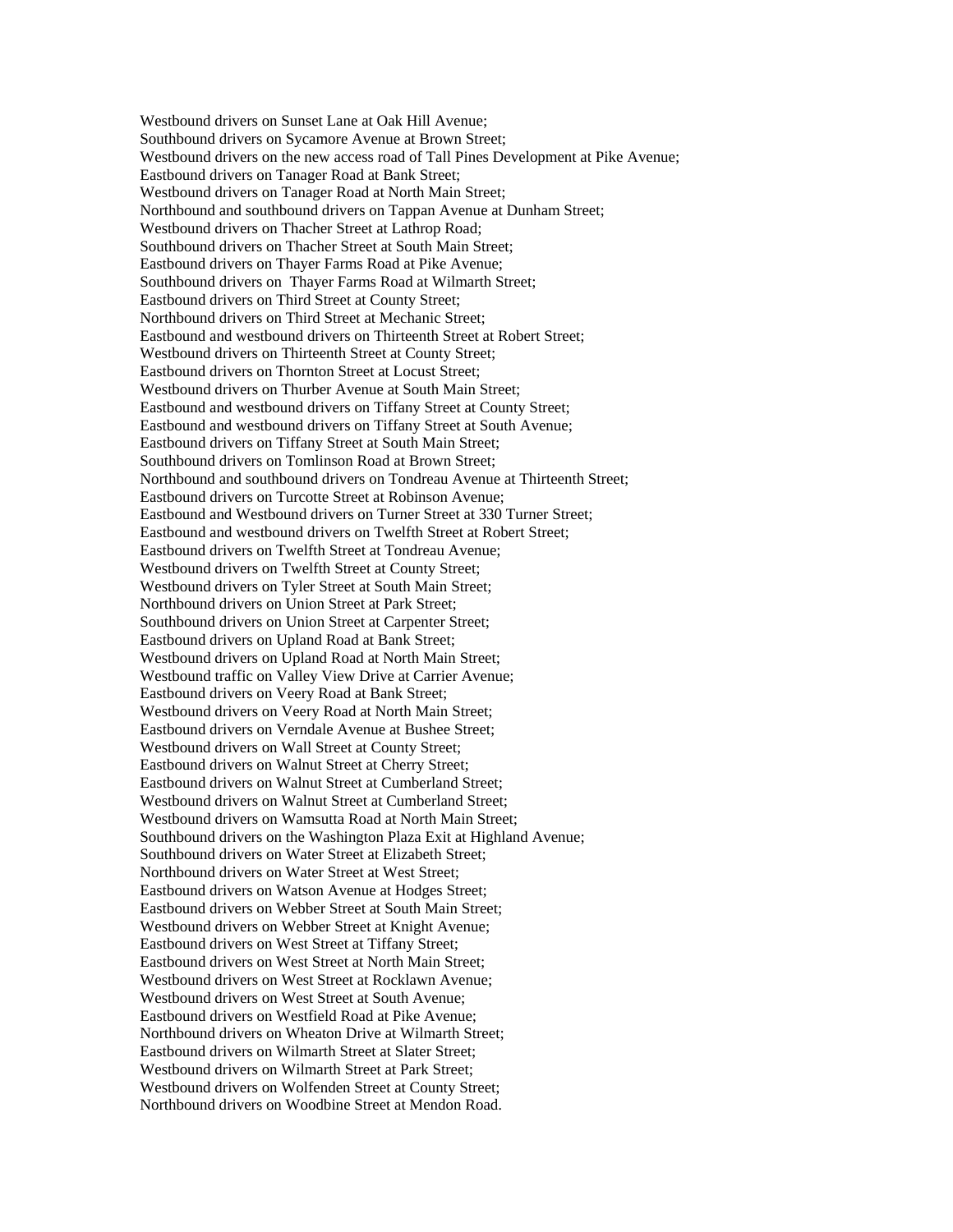Westbound drivers on Sunset Lane at Oak Hill Avenue; Southbound drivers on Sycamore Avenue at Brown Street; Westbound drivers on the new access road of Tall Pines Development at Pike Avenue; Eastbound drivers on Tanager Road at Bank Street; Westbound drivers on Tanager Road at North Main Street; Northbound and southbound drivers on Tappan Avenue at Dunham Street; Westbound drivers on Thacher Street at Lathrop Road; Southbound drivers on Thacher Street at South Main Street; Eastbound drivers on Thayer Farms Road at Pike Avenue; Southbound drivers on Thayer Farms Road at Wilmarth Street; Eastbound drivers on Third Street at County Street; Northbound drivers on Third Street at Mechanic Street; Eastbound and westbound drivers on Thirteenth Street at Robert Street; Westbound drivers on Thirteenth Street at County Street; Eastbound drivers on Thornton Street at Locust Street; Westbound drivers on Thurber Avenue at South Main Street; Eastbound and westbound drivers on Tiffany Street at County Street; Eastbound and westbound drivers on Tiffany Street at South Avenue; Eastbound drivers on Tiffany Street at South Main Street; Southbound drivers on Tomlinson Road at Brown Street; Northbound and southbound drivers on Tondreau Avenue at Thirteenth Street; Eastbound drivers on Turcotte Street at Robinson Avenue; Eastbound and Westbound drivers on Turner Street at 330 Turner Street; Eastbound and westbound drivers on Twelfth Street at Robert Street; Eastbound drivers on Twelfth Street at Tondreau Avenue; Westbound drivers on Twelfth Street at County Street; Westbound drivers on Tyler Street at South Main Street; Northbound drivers on Union Street at Park Street; Southbound drivers on Union Street at Carpenter Street; Eastbound drivers on Upland Road at Bank Street; Westbound drivers on Upland Road at North Main Street; Westbound traffic on Valley View Drive at Carrier Avenue; Eastbound drivers on Veery Road at Bank Street; Westbound drivers on Veery Road at North Main Street; Eastbound drivers on Verndale Avenue at Bushee Street; Westbound drivers on Wall Street at County Street; Eastbound drivers on Walnut Street at Cherry Street; Eastbound drivers on Walnut Street at Cumberland Street; Westbound drivers on Walnut Street at Cumberland Street; Westbound drivers on Wamsutta Road at North Main Street; Southbound drivers on the Washington Plaza Exit at Highland Avenue; Southbound drivers on Water Street at Elizabeth Street; Northbound drivers on Water Street at West Street; Eastbound drivers on Watson Avenue at Hodges Street; Eastbound drivers on Webber Street at South Main Street; Westbound drivers on Webber Street at Knight Avenue; Eastbound drivers on West Street at Tiffany Street; Eastbound drivers on West Street at North Main Street; Westbound drivers on West Street at Rocklawn Avenue; Westbound drivers on West Street at South Avenue; Eastbound drivers on Westfield Road at Pike Avenue; Northbound drivers on Wheaton Drive at Wilmarth Street; Eastbound drivers on Wilmarth Street at Slater Street; Westbound drivers on Wilmarth Street at Park Street; Westbound drivers on Wolfenden Street at County Street; Northbound drivers on Woodbine Street at Mendon Road.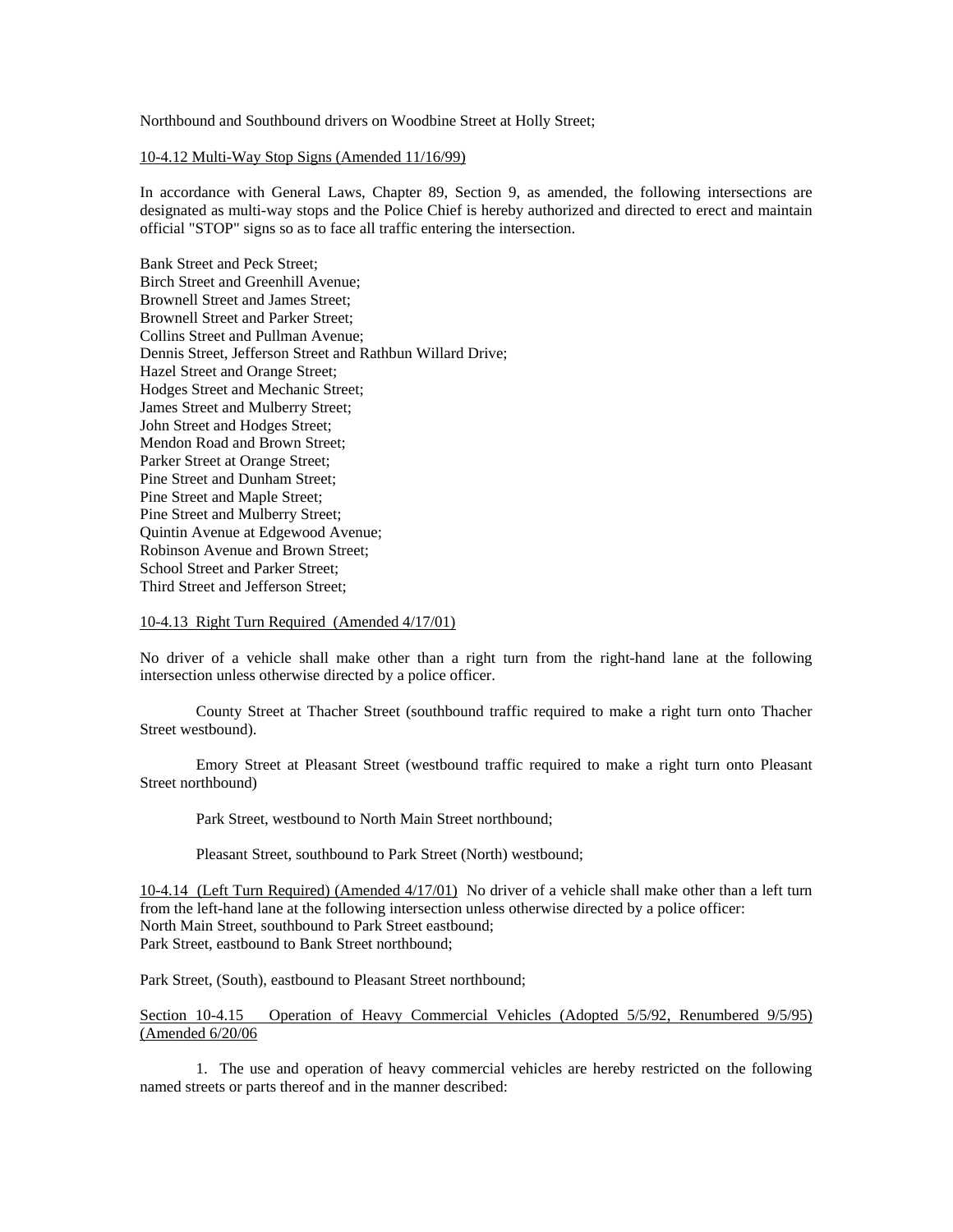Northbound and Southbound drivers on Woodbine Street at Holly Street;

### 10-4.12 Multi-Way Stop Signs (Amended 11/16/99)

In accordance with General Laws, Chapter 89, Section 9, as amended, the following intersections are designated as multi-way stops and the Police Chief is hereby authorized and directed to erect and maintain official "STOP" signs so as to face all traffic entering the intersection.

Bank Street and Peck Street; Birch Street and Greenhill Avenue; Brownell Street and James Street; Brownell Street and Parker Street; Collins Street and Pullman Avenue; Dennis Street, Jefferson Street and Rathbun Willard Drive; Hazel Street and Orange Street; Hodges Street and Mechanic Street; James Street and Mulberry Street; John Street and Hodges Street; Mendon Road and Brown Street; Parker Street at Orange Street; Pine Street and Dunham Street; Pine Street and Maple Street; Pine Street and Mulberry Street; Quintin Avenue at Edgewood Avenue; Robinson Avenue and Brown Street; School Street and Parker Street; Third Street and Jefferson Street;

### 10-4.13 Right Turn Required (Amended 4/17/01)

No driver of a vehicle shall make other than a right turn from the right-hand lane at the following intersection unless otherwise directed by a police officer.

 County Street at Thacher Street (southbound traffic required to make a right turn onto Thacher Street westbound).

 Emory Street at Pleasant Street (westbound traffic required to make a right turn onto Pleasant Street northbound)

Park Street, westbound to North Main Street northbound;

Pleasant Street, southbound to Park Street (North) westbound;

10-4.14 (Left Turn Required) (Amended 4/17/01) No driver of a vehicle shall make other than a left turn from the left-hand lane at the following intersection unless otherwise directed by a police officer: North Main Street, southbound to Park Street eastbound; Park Street, eastbound to Bank Street northbound;

Park Street, (South), eastbound to Pleasant Street northbound;

Section 10-4.15 Operation of Heavy Commercial Vehicles (Adopted 5/5/92, Renumbered 9/5/95) (Amended 6/20/06

 1. The use and operation of heavy commercial vehicles are hereby restricted on the following named streets or parts thereof and in the manner described: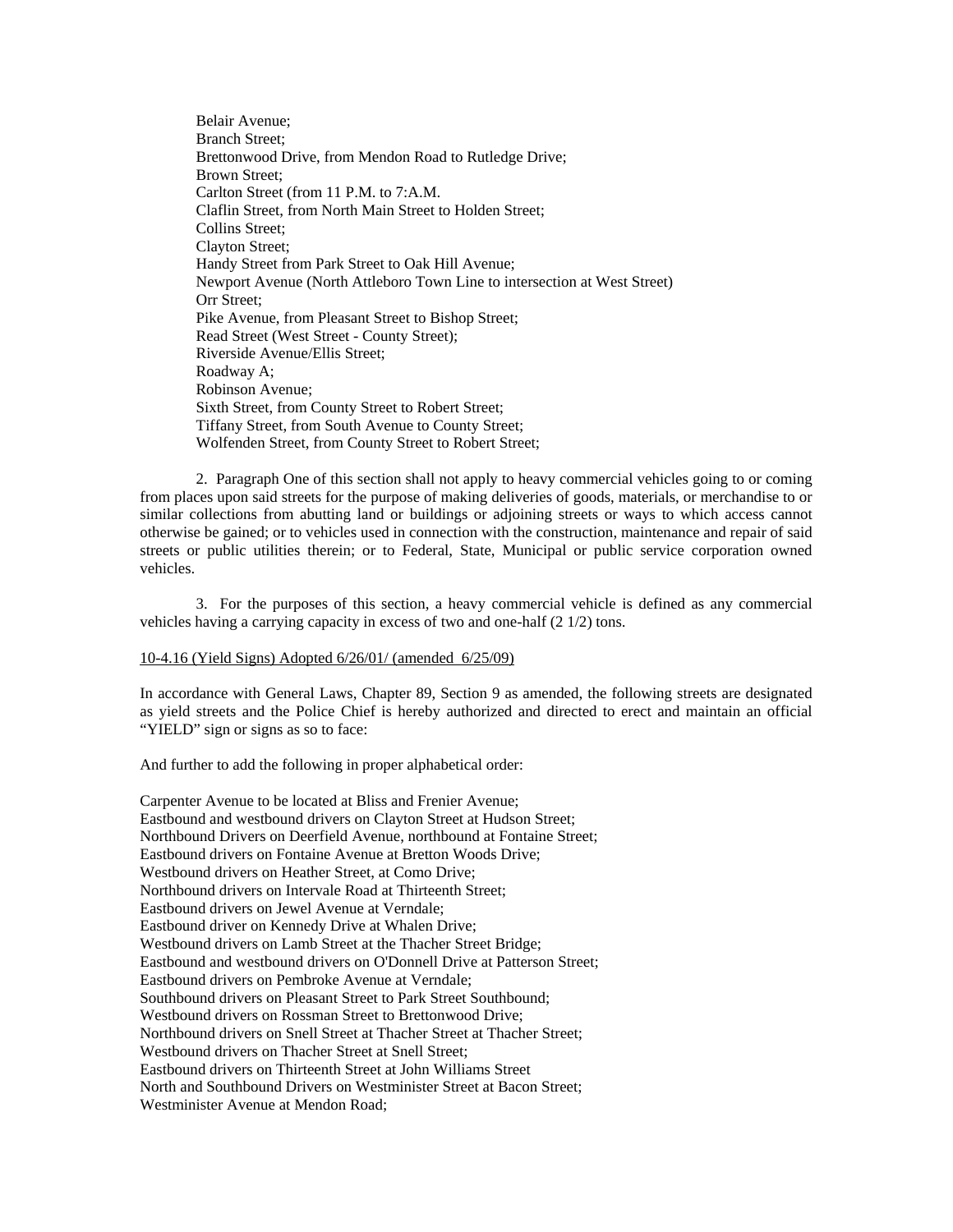Belair Avenue; Branch Street; Brettonwood Drive, from Mendon Road to Rutledge Drive; Brown Street; Carlton Street (from 11 P.M. to 7:A.M. Claflin Street, from North Main Street to Holden Street; Collins Street; Clayton Street; Handy Street from Park Street to Oak Hill Avenue; Newport Avenue (North Attleboro Town Line to intersection at West Street) Orr Street; Pike Avenue, from Pleasant Street to Bishop Street; Read Street (West Street - County Street); Riverside Avenue/Ellis Street; Roadway A; Robinson Avenue; Sixth Street, from County Street to Robert Street; Tiffany Street, from South Avenue to County Street; Wolfenden Street, from County Street to Robert Street;

 2. Paragraph One of this section shall not apply to heavy commercial vehicles going to or coming from places upon said streets for the purpose of making deliveries of goods, materials, or merchandise to or similar collections from abutting land or buildings or adjoining streets or ways to which access cannot otherwise be gained; or to vehicles used in connection with the construction, maintenance and repair of said streets or public utilities therein; or to Federal, State, Municipal or public service corporation owned vehicles.

 3. For the purposes of this section, a heavy commercial vehicle is defined as any commercial vehicles having a carrying capacity in excess of two and one-half (2 1/2) tons.

### 10-4.16 (Yield Signs) Adopted 6/26/01/ (amended 6/25/09)

In accordance with General Laws, Chapter 89, Section 9 as amended, the following streets are designated as yield streets and the Police Chief is hereby authorized and directed to erect and maintain an official "YIELD" sign or signs as so to face:

And further to add the following in proper alphabetical order:

Carpenter Avenue to be located at Bliss and Frenier Avenue; Eastbound and westbound drivers on Clayton Street at Hudson Street; Northbound Drivers on Deerfield Avenue, northbound at Fontaine Street; Eastbound drivers on Fontaine Avenue at Bretton Woods Drive; Westbound drivers on Heather Street, at Como Drive; Northbound drivers on Intervale Road at Thirteenth Street; Eastbound drivers on Jewel Avenue at Verndale; Eastbound driver on Kennedy Drive at Whalen Drive; Westbound drivers on Lamb Street at the Thacher Street Bridge; Eastbound and westbound drivers on O'Donnell Drive at Patterson Street; Eastbound drivers on Pembroke Avenue at Verndale; Southbound drivers on Pleasant Street to Park Street Southbound; Westbound drivers on Rossman Street to Brettonwood Drive; Northbound drivers on Snell Street at Thacher Street at Thacher Street; Westbound drivers on Thacher Street at Snell Street; Eastbound drivers on Thirteenth Street at John Williams Street North and Southbound Drivers on Westminister Street at Bacon Street; Westminister Avenue at Mendon Road;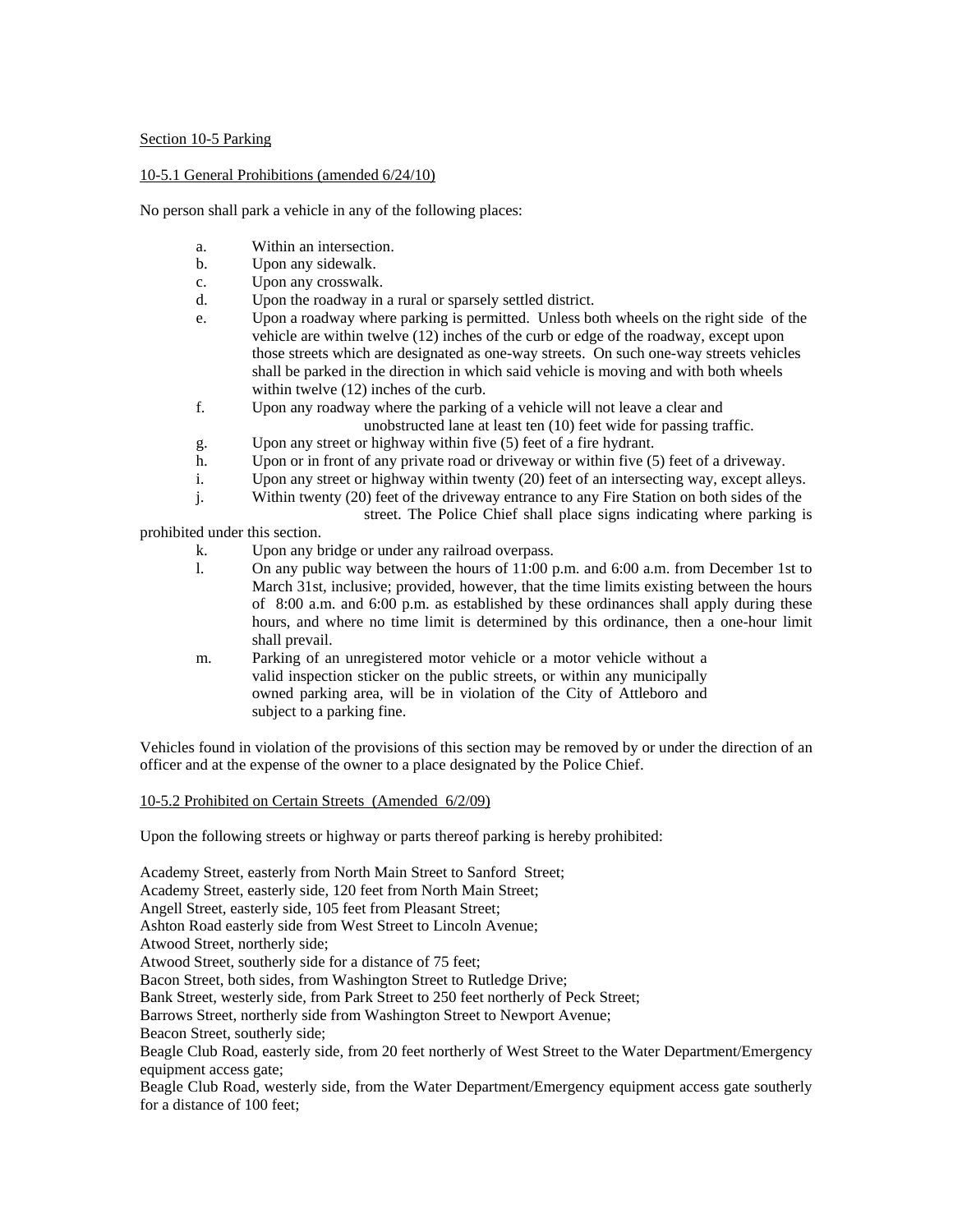## Section 10-5 Parking

## 10-5.1 General Prohibitions (amended 6/24/10)

No person shall park a vehicle in any of the following places:

- a. Within an intersection.
- b. Upon any sidewalk.
- c. Upon any crosswalk.
- d. Upon the roadway in a rural or sparsely settled district.
- e. Upon a roadway where parking is permitted. Unless both wheels on the right side of the vehicle are within twelve (12) inches of the curb or edge of the roadway, except upon those streets which are designated as one-way streets. On such one-way streets vehicles shall be parked in the direction in which said vehicle is moving and with both wheels within twelve (12) inches of the curb.
- f. Upon any roadway where the parking of a vehicle will not leave a clear and
	- unobstructed lane at least ten (10) feet wide for passing traffic.
- g. Upon any street or highway within five (5) feet of a fire hydrant.
- h. Upon or in front of any private road or driveway or within five (5) feet of a driveway.
- i. Upon any street or highway within twenty (20) feet of an intersecting way, except alleys.
- j. Within twenty (20) feet of the driveway entrance to any Fire Station on both sides of the street. The Police Chief shall place signs indicating where parking is

prohibited under this section.

- k. Upon any bridge or under any railroad overpass.
- l. On any public way between the hours of 11:00 p.m. and 6:00 a.m. from December 1st to March 31st, inclusive; provided, however, that the time limits existing between the hours of 8:00 a.m. and 6:00 p.m. as established by these ordinances shall apply during these hours, and where no time limit is determined by this ordinance, then a one-hour limit shall prevail.
- m. Parking of an unregistered motor vehicle or a motor vehicle without a valid inspection sticker on the public streets, or within any municipally owned parking area, will be in violation of the City of Attleboro and subject to a parking fine.

Vehicles found in violation of the provisions of this section may be removed by or under the direction of an officer and at the expense of the owner to a place designated by the Police Chief.

10-5.2 Prohibited on Certain Streets (Amended 6/2/09)

Upon the following streets or highway or parts thereof parking is hereby prohibited:

Academy Street, easterly from North Main Street to Sanford Street;

Academy Street, easterly side, 120 feet from North Main Street;

Angell Street, easterly side, 105 feet from Pleasant Street;

Ashton Road easterly side from West Street to Lincoln Avenue;

Atwood Street, northerly side;

Atwood Street, southerly side for a distance of 75 feet;

Bacon Street, both sides, from Washington Street to Rutledge Drive;

Bank Street, westerly side, from Park Street to 250 feet northerly of Peck Street;

Barrows Street, northerly side from Washington Street to Newport Avenue;

Beacon Street, southerly side;

Beagle Club Road, easterly side, from 20 feet northerly of West Street to the Water Department/Emergency equipment access gate;

Beagle Club Road, westerly side, from the Water Department/Emergency equipment access gate southerly for a distance of 100 feet;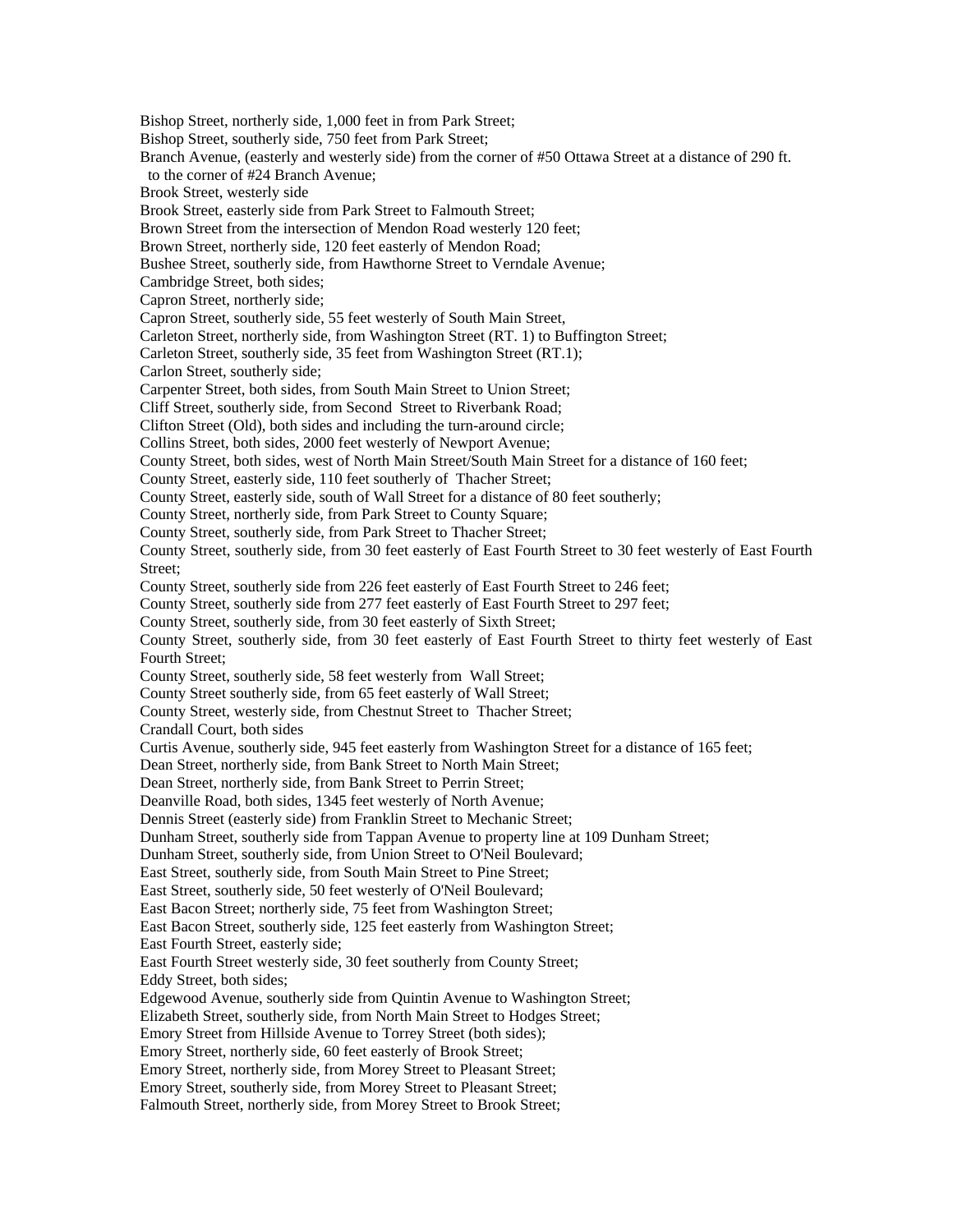Bishop Street, northerly side, 1,000 feet in from Park Street; Bishop Street, southerly side, 750 feet from Park Street; Branch Avenue, (easterly and westerly side) from the corner of #50 Ottawa Street at a distance of 290 ft. to the corner of #24 Branch Avenue; Brook Street, westerly side Brook Street, easterly side from Park Street to Falmouth Street; Brown Street from the intersection of Mendon Road westerly 120 feet; Brown Street, northerly side, 120 feet easterly of Mendon Road; Bushee Street, southerly side, from Hawthorne Street to Verndale Avenue; Cambridge Street, both sides; Capron Street, northerly side; Capron Street, southerly side, 55 feet westerly of South Main Street, Carleton Street, northerly side, from Washington Street (RT. 1) to Buffington Street; Carleton Street, southerly side, 35 feet from Washington Street (RT.1); Carlon Street, southerly side; Carpenter Street, both sides, from South Main Street to Union Street; Cliff Street, southerly side, from Second Street to Riverbank Road; Clifton Street (Old), both sides and including the turn-around circle; Collins Street, both sides, 2000 feet westerly of Newport Avenue; County Street, both sides, west of North Main Street/South Main Street for a distance of 160 feet; County Street, easterly side, 110 feet southerly of Thacher Street; County Street, easterly side, south of Wall Street for a distance of 80 feet southerly; County Street, northerly side, from Park Street to County Square; County Street, southerly side, from Park Street to Thacher Street; County Street, southerly side, from 30 feet easterly of East Fourth Street to 30 feet westerly of East Fourth Street; County Street, southerly side from 226 feet easterly of East Fourth Street to 246 feet; County Street, southerly side from 277 feet easterly of East Fourth Street to 297 feet; County Street, southerly side, from 30 feet easterly of Sixth Street; County Street, southerly side, from 30 feet easterly of East Fourth Street to thirty feet westerly of East Fourth Street; County Street, southerly side, 58 feet westerly from Wall Street; County Street southerly side, from 65 feet easterly of Wall Street; County Street, westerly side, from Chestnut Street to Thacher Street; Crandall Court, both sides Curtis Avenue, southerly side, 945 feet easterly from Washington Street for a distance of 165 feet; Dean Street, northerly side, from Bank Street to North Main Street; Dean Street, northerly side, from Bank Street to Perrin Street; Deanville Road, both sides, 1345 feet westerly of North Avenue; Dennis Street (easterly side) from Franklin Street to Mechanic Street; Dunham Street, southerly side from Tappan Avenue to property line at 109 Dunham Street; Dunham Street, southerly side, from Union Street to O'Neil Boulevard; East Street, southerly side, from South Main Street to Pine Street; East Street, southerly side, 50 feet westerly of O'Neil Boulevard; East Bacon Street; northerly side, 75 feet from Washington Street; East Bacon Street, southerly side, 125 feet easterly from Washington Street; East Fourth Street, easterly side; East Fourth Street westerly side, 30 feet southerly from County Street; Eddy Street, both sides; Edgewood Avenue, southerly side from Quintin Avenue to Washington Street; Elizabeth Street, southerly side, from North Main Street to Hodges Street; Emory Street from Hillside Avenue to Torrey Street (both sides); Emory Street, northerly side, 60 feet easterly of Brook Street; Emory Street, northerly side, from Morey Street to Pleasant Street; Emory Street, southerly side, from Morey Street to Pleasant Street; Falmouth Street, northerly side, from Morey Street to Brook Street;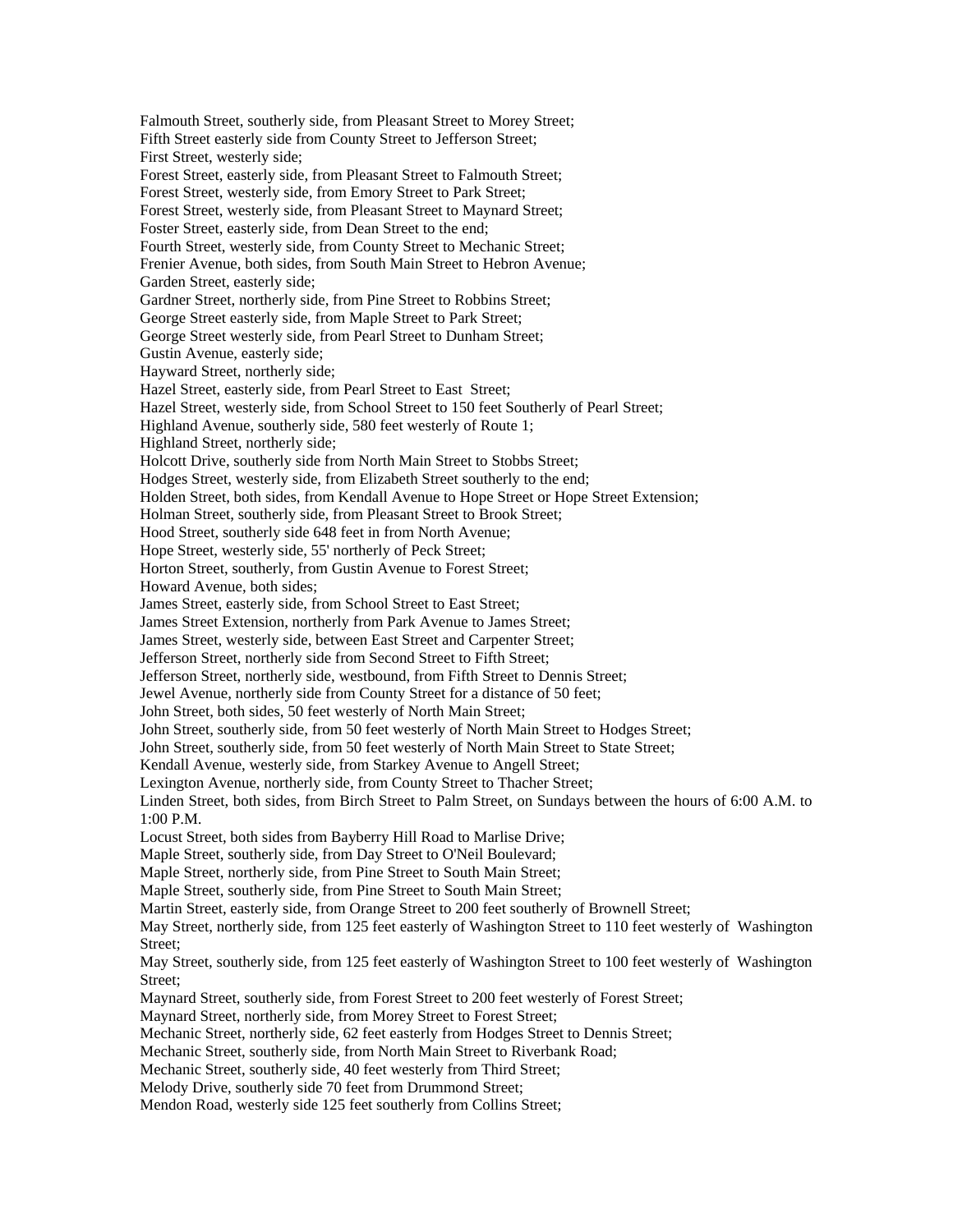Falmouth Street, southerly side, from Pleasant Street to Morey Street; Fifth Street easterly side from County Street to Jefferson Street; First Street, westerly side; Forest Street, easterly side, from Pleasant Street to Falmouth Street; Forest Street, westerly side, from Emory Street to Park Street; Forest Street, westerly side, from Pleasant Street to Maynard Street; Foster Street, easterly side, from Dean Street to the end; Fourth Street, westerly side, from County Street to Mechanic Street; Frenier Avenue, both sides, from South Main Street to Hebron Avenue; Garden Street, easterly side; Gardner Street, northerly side, from Pine Street to Robbins Street; George Street easterly side, from Maple Street to Park Street; George Street westerly side, from Pearl Street to Dunham Street; Gustin Avenue, easterly side; Hayward Street, northerly side; Hazel Street, easterly side, from Pearl Street to East Street; Hazel Street, westerly side, from School Street to 150 feet Southerly of Pearl Street; Highland Avenue, southerly side, 580 feet westerly of Route 1; Highland Street, northerly side; Holcott Drive, southerly side from North Main Street to Stobbs Street; Hodges Street, westerly side, from Elizabeth Street southerly to the end; Holden Street, both sides, from Kendall Avenue to Hope Street or Hope Street Extension; Holman Street, southerly side, from Pleasant Street to Brook Street; Hood Street, southerly side 648 feet in from North Avenue; Hope Street, westerly side, 55' northerly of Peck Street; Horton Street, southerly, from Gustin Avenue to Forest Street; Howard Avenue, both sides; James Street, easterly side, from School Street to East Street; James Street Extension, northerly from Park Avenue to James Street; James Street, westerly side, between East Street and Carpenter Street; Jefferson Street, northerly side from Second Street to Fifth Street; Jefferson Street, northerly side, westbound, from Fifth Street to Dennis Street; Jewel Avenue, northerly side from County Street for a distance of 50 feet; John Street, both sides, 50 feet westerly of North Main Street; John Street, southerly side, from 50 feet westerly of North Main Street to Hodges Street; John Street, southerly side, from 50 feet westerly of North Main Street to State Street; Kendall Avenue, westerly side, from Starkey Avenue to Angell Street; Lexington Avenue, northerly side, from County Street to Thacher Street; Linden Street, both sides, from Birch Street to Palm Street, on Sundays between the hours of 6:00 A.M. to  $1:00 P M$ Locust Street, both sides from Bayberry Hill Road to Marlise Drive; Maple Street, southerly side, from Day Street to O'Neil Boulevard; Maple Street, northerly side, from Pine Street to South Main Street; Maple Street, southerly side, from Pine Street to South Main Street; Martin Street, easterly side, from Orange Street to 200 feet southerly of Brownell Street; May Street, northerly side, from 125 feet easterly of Washington Street to 110 feet westerly of Washington Street; May Street, southerly side, from 125 feet easterly of Washington Street to 100 feet westerly of Washington Street; Maynard Street, southerly side, from Forest Street to 200 feet westerly of Forest Street; Maynard Street, northerly side, from Morey Street to Forest Street; Mechanic Street, northerly side, 62 feet easterly from Hodges Street to Dennis Street; Mechanic Street, southerly side, from North Main Street to Riverbank Road; Mechanic Street, southerly side, 40 feet westerly from Third Street; Melody Drive, southerly side 70 feet from Drummond Street; Mendon Road, westerly side 125 feet southerly from Collins Street;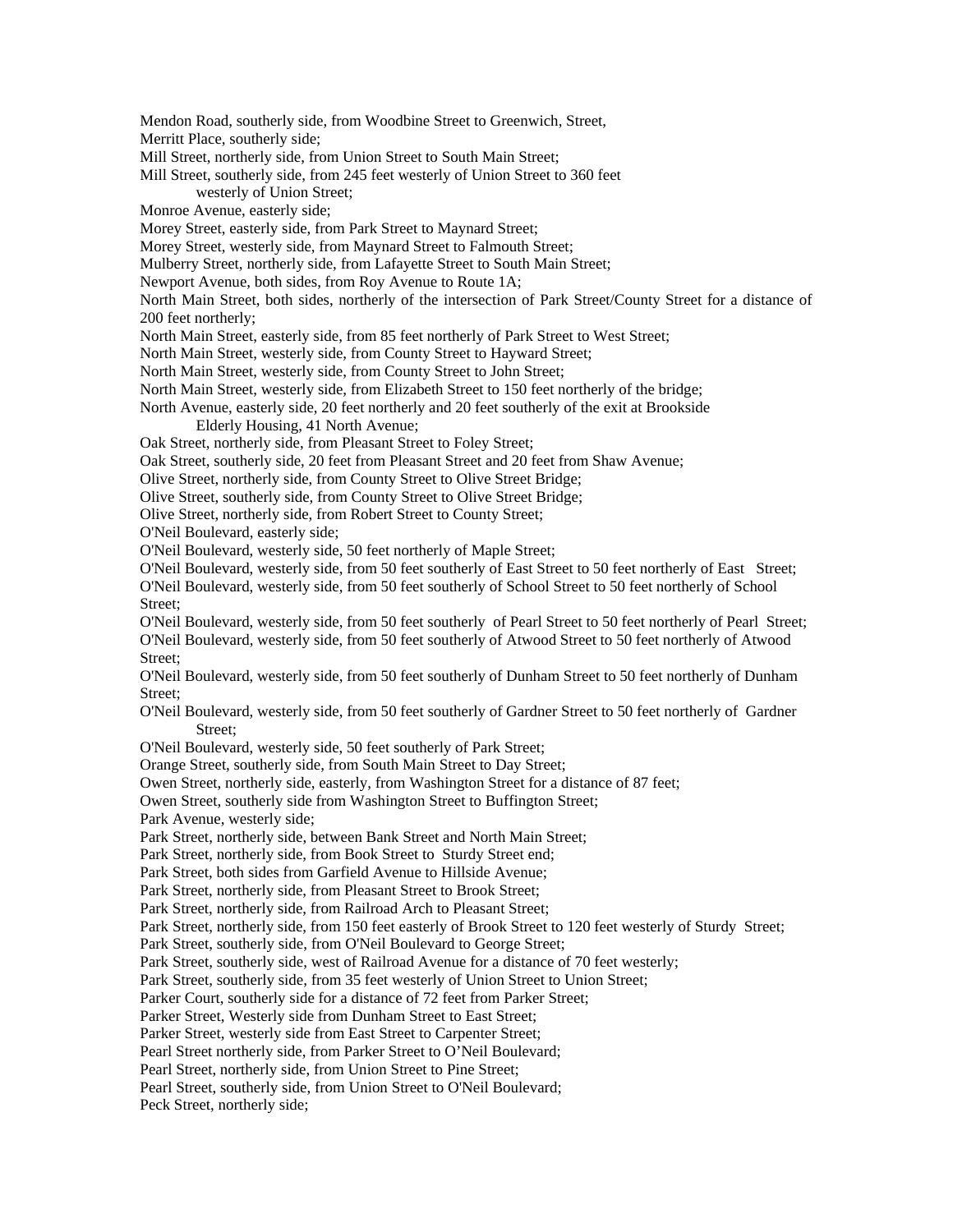Mendon Road, southerly side, from Woodbine Street to Greenwich, Street,

Merritt Place, southerly side;

Mill Street, northerly side, from Union Street to South Main Street;

Mill Street, southerly side, from 245 feet westerly of Union Street to 360 feet westerly of Union Street;

Monroe Avenue, easterly side;

Morey Street, easterly side, from Park Street to Maynard Street;

Morey Street, westerly side, from Maynard Street to Falmouth Street;

Mulberry Street, northerly side, from Lafayette Street to South Main Street;

Newport Avenue, both sides, from Roy Avenue to Route 1A;

North Main Street, both sides, northerly of the intersection of Park Street/County Street for a distance of 200 feet northerly;

North Main Street, easterly side, from 85 feet northerly of Park Street to West Street;

North Main Street, westerly side, from County Street to Hayward Street;

North Main Street, westerly side, from County Street to John Street;

North Main Street, westerly side, from Elizabeth Street to 150 feet northerly of the bridge;

North Avenue, easterly side, 20 feet northerly and 20 feet southerly of the exit at Brookside

Elderly Housing, 41 North Avenue;

Oak Street, northerly side, from Pleasant Street to Foley Street;

Oak Street, southerly side, 20 feet from Pleasant Street and 20 feet from Shaw Avenue;

Olive Street, northerly side, from County Street to Olive Street Bridge;

Olive Street, southerly side, from County Street to Olive Street Bridge;

Olive Street, northerly side, from Robert Street to County Street;

O'Neil Boulevard, easterly side;

O'Neil Boulevard, westerly side, 50 feet northerly of Maple Street;

O'Neil Boulevard, westerly side, from 50 feet southerly of East Street to 50 feet northerly of East Street;

O'Neil Boulevard, westerly side, from 50 feet southerly of School Street to 50 feet northerly of School Street;

O'Neil Boulevard, westerly side, from 50 feet southerly of Pearl Street to 50 feet northerly of Pearl Street; O'Neil Boulevard, westerly side, from 50 feet southerly of Atwood Street to 50 feet northerly of Atwood Street;

O'Neil Boulevard, westerly side, from 50 feet southerly of Dunham Street to 50 feet northerly of Dunham Street;

O'Neil Boulevard, westerly side, from 50 feet southerly of Gardner Street to 50 feet northerly of Gardner Street;

O'Neil Boulevard, westerly side, 50 feet southerly of Park Street;

Orange Street, southerly side, from South Main Street to Day Street;

Owen Street, northerly side, easterly, from Washington Street for a distance of 87 feet;

Owen Street, southerly side from Washington Street to Buffington Street;

Park Avenue, westerly side;

Park Street, northerly side, between Bank Street and North Main Street;

Park Street, northerly side, from Book Street to Sturdy Street end;

Park Street, both sides from Garfield Avenue to Hillside Avenue;

Park Street, northerly side, from Pleasant Street to Brook Street;

Park Street, northerly side, from Railroad Arch to Pleasant Street;

Park Street, northerly side, from 150 feet easterly of Brook Street to 120 feet westerly of Sturdy Street;

Park Street, southerly side, from O'Neil Boulevard to George Street;

Park Street, southerly side, west of Railroad Avenue for a distance of 70 feet westerly;

Park Street, southerly side, from 35 feet westerly of Union Street to Union Street;

Parker Court, southerly side for a distance of 72 feet from Parker Street;

Parker Street, Westerly side from Dunham Street to East Street;

Parker Street, westerly side from East Street to Carpenter Street;

Pearl Street northerly side, from Parker Street to O'Neil Boulevard;

Pearl Street, northerly side, from Union Street to Pine Street;

Pearl Street, southerly side, from Union Street to O'Neil Boulevard;

Peck Street, northerly side;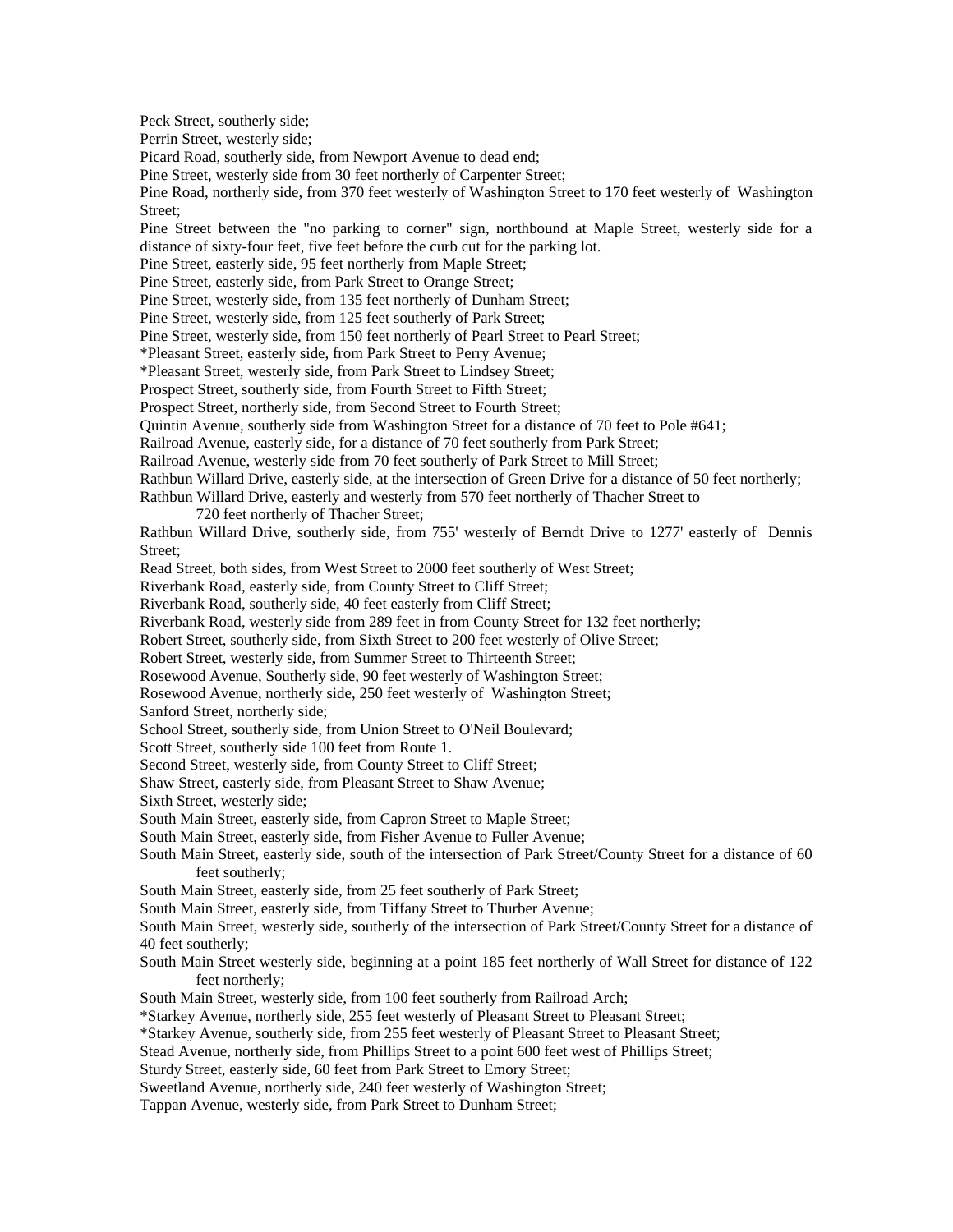Peck Street, southerly side;

Perrin Street, westerly side;

Picard Road, southerly side, from Newport Avenue to dead end;

Pine Street, westerly side from 30 feet northerly of Carpenter Street;

Pine Road, northerly side, from 370 feet westerly of Washington Street to 170 feet westerly of Washington Street:

Pine Street between the "no parking to corner" sign, northbound at Maple Street, westerly side for a distance of sixty-four feet, five feet before the curb cut for the parking lot.

Pine Street, easterly side, 95 feet northerly from Maple Street;

Pine Street, easterly side, from Park Street to Orange Street;

Pine Street, westerly side, from 135 feet northerly of Dunham Street;

Pine Street, westerly side, from 125 feet southerly of Park Street;

Pine Street, westerly side, from 150 feet northerly of Pearl Street to Pearl Street;

\*Pleasant Street, easterly side, from Park Street to Perry Avenue;

\*Pleasant Street, westerly side, from Park Street to Lindsey Street;

Prospect Street, southerly side, from Fourth Street to Fifth Street;

Prospect Street, northerly side, from Second Street to Fourth Street;

Quintin Avenue, southerly side from Washington Street for a distance of 70 feet to Pole #641;

Railroad Avenue, easterly side, for a distance of 70 feet southerly from Park Street;

Railroad Avenue, westerly side from 70 feet southerly of Park Street to Mill Street;

Rathbun Willard Drive, easterly side, at the intersection of Green Drive for a distance of 50 feet northerly;

Rathbun Willard Drive, easterly and westerly from 570 feet northerly of Thacher Street to

720 feet northerly of Thacher Street;

Rathbun Willard Drive, southerly side, from 755' westerly of Berndt Drive to 1277' easterly of Dennis Street;

Read Street, both sides, from West Street to 2000 feet southerly of West Street;

Riverbank Road, easterly side, from County Street to Cliff Street;

Riverbank Road, southerly side, 40 feet easterly from Cliff Street;

Riverbank Road, westerly side from 289 feet in from County Street for 132 feet northerly;

Robert Street, southerly side, from Sixth Street to 200 feet westerly of Olive Street;

Robert Street, westerly side, from Summer Street to Thirteenth Street;

Rosewood Avenue, Southerly side, 90 feet westerly of Washington Street;

Rosewood Avenue, northerly side, 250 feet westerly of Washington Street;

Sanford Street, northerly side;

School Street, southerly side, from Union Street to O'Neil Boulevard;

Scott Street, southerly side 100 feet from Route 1.

Second Street, westerly side, from County Street to Cliff Street;

Shaw Street, easterly side, from Pleasant Street to Shaw Avenue;

Sixth Street, westerly side;

South Main Street, easterly side, from Capron Street to Maple Street;

South Main Street, easterly side, from Fisher Avenue to Fuller Avenue;

South Main Street, easterly side, south of the intersection of Park Street/County Street for a distance of 60 feet southerly;

South Main Street, easterly side, from 25 feet southerly of Park Street;

South Main Street, easterly side, from Tiffany Street to Thurber Avenue;

South Main Street, westerly side, southerly of the intersection of Park Street/County Street for a distance of 40 feet southerly;

South Main Street westerly side, beginning at a point 185 feet northerly of Wall Street for distance of 122 feet northerly;

South Main Street, westerly side, from 100 feet southerly from Railroad Arch;

\*Starkey Avenue, northerly side, 255 feet westerly of Pleasant Street to Pleasant Street;

\*Starkey Avenue, southerly side, from 255 feet westerly of Pleasant Street to Pleasant Street;

Stead Avenue, northerly side, from Phillips Street to a point 600 feet west of Phillips Street;

Sturdy Street, easterly side, 60 feet from Park Street to Emory Street;

Sweetland Avenue, northerly side, 240 feet westerly of Washington Street;

Tappan Avenue, westerly side, from Park Street to Dunham Street;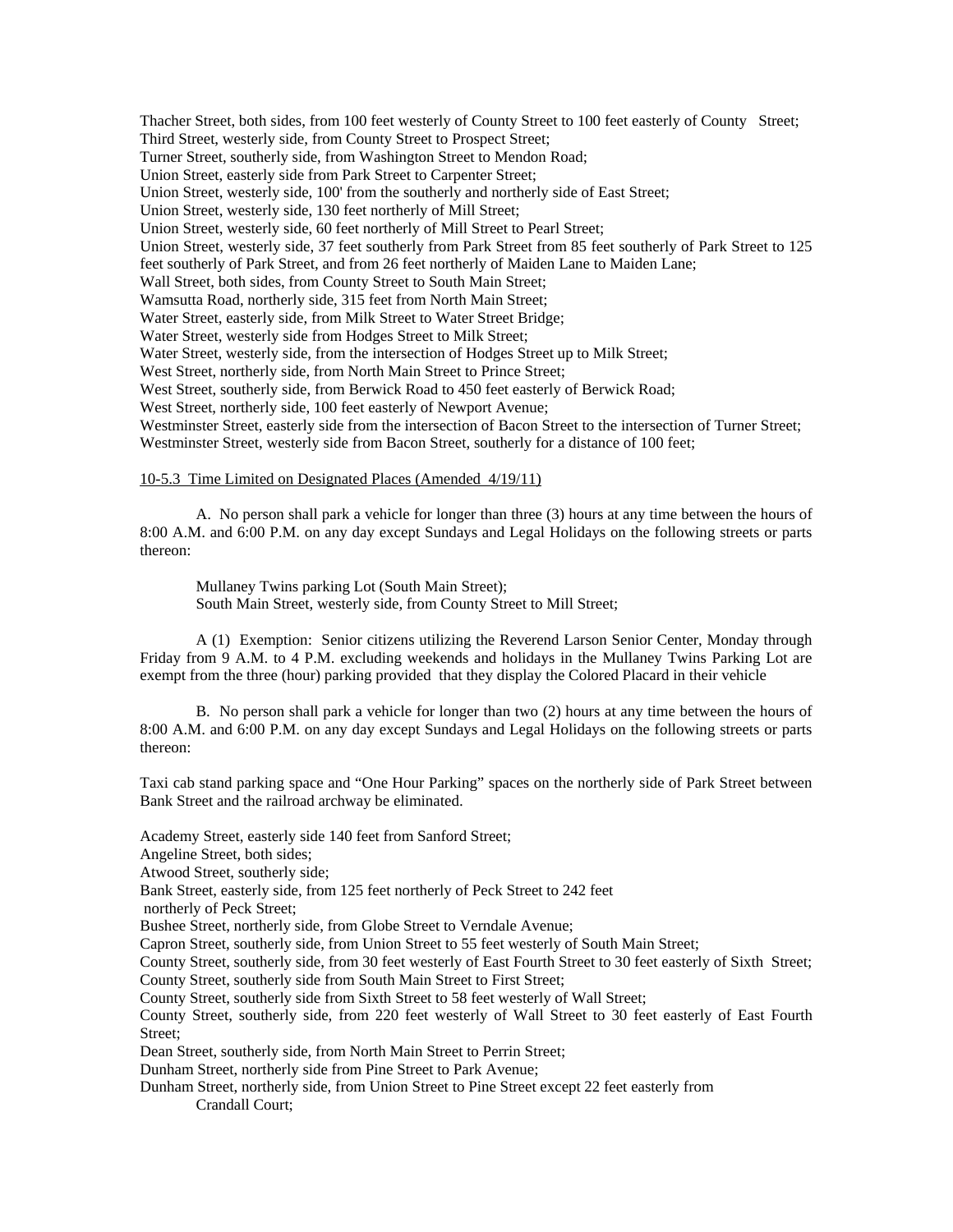Thacher Street, both sides, from 100 feet westerly of County Street to 100 feet easterly of County Street; Third Street, westerly side, from County Street to Prospect Street; Turner Street, southerly side, from Washington Street to Mendon Road; Union Street, easterly side from Park Street to Carpenter Street; Union Street, westerly side, 100' from the southerly and northerly side of East Street; Union Street, westerly side, 130 feet northerly of Mill Street; Union Street, westerly side, 60 feet northerly of Mill Street to Pearl Street; Union Street, westerly side, 37 feet southerly from Park Street from 85 feet southerly of Park Street to 125 feet southerly of Park Street, and from 26 feet northerly of Maiden Lane to Maiden Lane; Wall Street, both sides, from County Street to South Main Street; Wamsutta Road, northerly side, 315 feet from North Main Street; Water Street, easterly side, from Milk Street to Water Street Bridge; Water Street, westerly side from Hodges Street to Milk Street; Water Street, westerly side, from the intersection of Hodges Street up to Milk Street; West Street, northerly side, from North Main Street to Prince Street; West Street, southerly side, from Berwick Road to 450 feet easterly of Berwick Road; West Street, northerly side, 100 feet easterly of Newport Avenue; Westminster Street, easterly side from the intersection of Bacon Street to the intersection of Turner Street; Westminster Street, westerly side from Bacon Street, southerly for a distance of 100 feet;

## 10-5.3 Time Limited on Designated Places (Amended 4/19/11)

 A. No person shall park a vehicle for longer than three (3) hours at any time between the hours of 8:00 A.M. and 6:00 P.M. on any day except Sundays and Legal Holidays on the following streets or parts thereon:

 Mullaney Twins parking Lot (South Main Street); South Main Street, westerly side, from County Street to Mill Street;

 A (1) Exemption: Senior citizens utilizing the Reverend Larson Senior Center, Monday through Friday from 9 A.M. to 4 P.M. excluding weekends and holidays in the Mullaney Twins Parking Lot are exempt from the three (hour) parking provided that they display the Colored Placard in their vehicle

 B. No person shall park a vehicle for longer than two (2) hours at any time between the hours of 8:00 A.M. and 6:00 P.M. on any day except Sundays and Legal Holidays on the following streets or parts thereon:

Taxi cab stand parking space and "One Hour Parking" spaces on the northerly side of Park Street between Bank Street and the railroad archway be eliminated.

Academy Street, easterly side 140 feet from Sanford Street;

Angeline Street, both sides;

Atwood Street, southerly side;

Bank Street, easterly side, from 125 feet northerly of Peck Street to 242 feet

northerly of Peck Street;

Bushee Street, northerly side, from Globe Street to Verndale Avenue;

Capron Street, southerly side, from Union Street to 55 feet westerly of South Main Street;

County Street, southerly side, from 30 feet westerly of East Fourth Street to 30 feet easterly of Sixth Street; County Street, southerly side from South Main Street to First Street;

County Street, southerly side from Sixth Street to 58 feet westerly of Wall Street;

County Street, southerly side, from 220 feet westerly of Wall Street to 30 feet easterly of East Fourth Street;

Dean Street, southerly side, from North Main Street to Perrin Street;

Dunham Street, northerly side from Pine Street to Park Avenue;

Dunham Street, northerly side, from Union Street to Pine Street except 22 feet easterly from Crandall Court;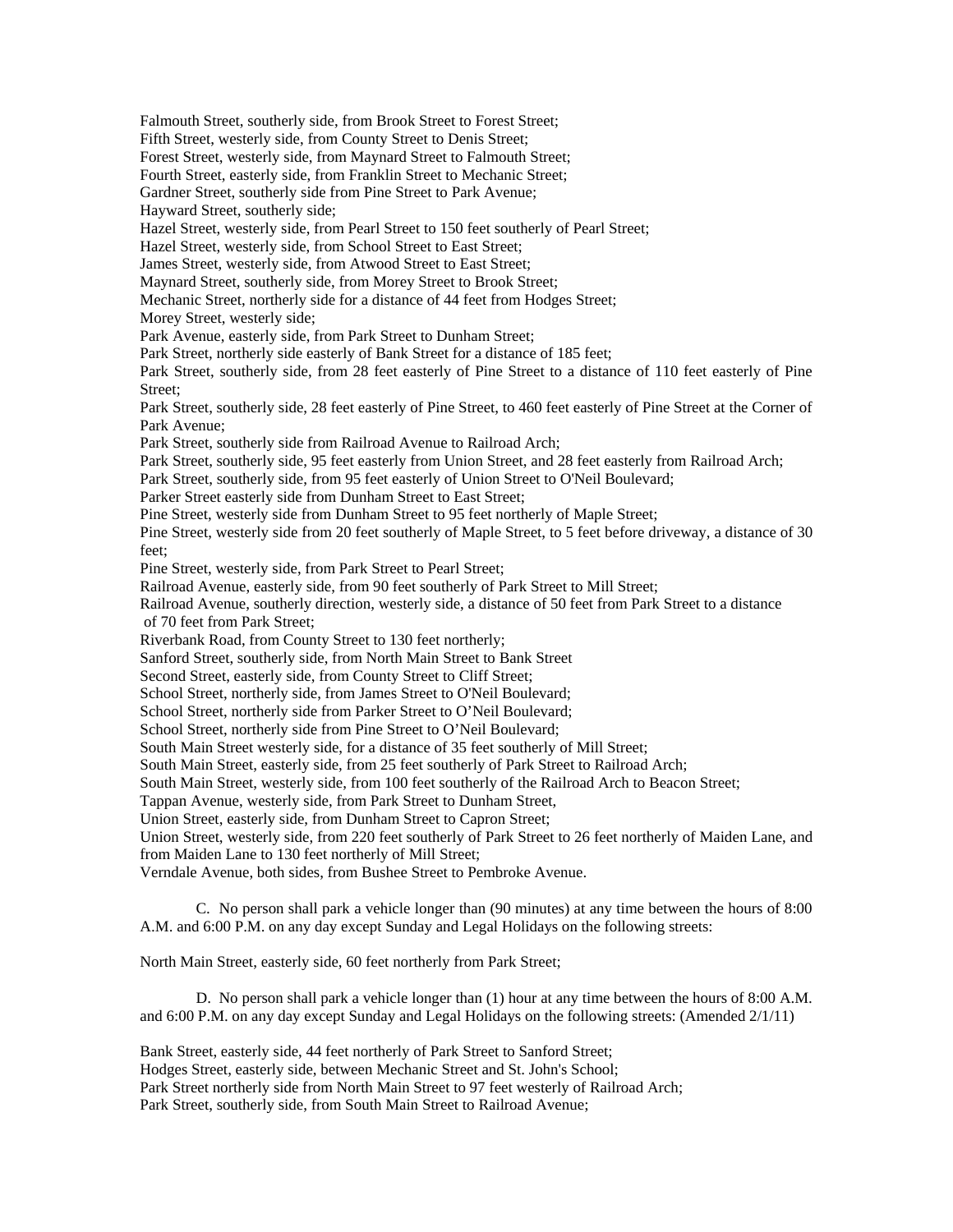Falmouth Street, southerly side, from Brook Street to Forest Street; Fifth Street, westerly side, from County Street to Denis Street; Forest Street, westerly side, from Maynard Street to Falmouth Street; Fourth Street, easterly side, from Franklin Street to Mechanic Street; Gardner Street, southerly side from Pine Street to Park Avenue; Hayward Street, southerly side; Hazel Street, westerly side, from Pearl Street to 150 feet southerly of Pearl Street; Hazel Street, westerly side, from School Street to East Street; James Street, westerly side, from Atwood Street to East Street; Maynard Street, southerly side, from Morey Street to Brook Street; Mechanic Street, northerly side for a distance of 44 feet from Hodges Street; Morey Street, westerly side; Park Avenue, easterly side, from Park Street to Dunham Street; Park Street, northerly side easterly of Bank Street for a distance of 185 feet; Park Street, southerly side, from 28 feet easterly of Pine Street to a distance of 110 feet easterly of Pine Street; Park Street, southerly side, 28 feet easterly of Pine Street, to 460 feet easterly of Pine Street at the Corner of Park Avenue; Park Street, southerly side from Railroad Avenue to Railroad Arch; Park Street, southerly side, 95 feet easterly from Union Street, and 28 feet easterly from Railroad Arch; Park Street, southerly side, from 95 feet easterly of Union Street to O'Neil Boulevard; Parker Street easterly side from Dunham Street to East Street; Pine Street, westerly side from Dunham Street to 95 feet northerly of Maple Street; Pine Street, westerly side from 20 feet southerly of Maple Street, to 5 feet before driveway, a distance of 30 feet; Pine Street, westerly side, from Park Street to Pearl Street; Railroad Avenue, easterly side, from 90 feet southerly of Park Street to Mill Street; Railroad Avenue, southerly direction, westerly side, a distance of 50 feet from Park Street to a distance of 70 feet from Park Street; Riverbank Road, from County Street to 130 feet northerly; Sanford Street, southerly side, from North Main Street to Bank Street Second Street, easterly side, from County Street to Cliff Street; School Street, northerly side, from James Street to O'Neil Boulevard; School Street, northerly side from Parker Street to O'Neil Boulevard; School Street, northerly side from Pine Street to O'Neil Boulevard; South Main Street westerly side, for a distance of 35 feet southerly of Mill Street; South Main Street, easterly side, from 25 feet southerly of Park Street to Railroad Arch; South Main Street, westerly side, from 100 feet southerly of the Railroad Arch to Beacon Street; Tappan Avenue, westerly side, from Park Street to Dunham Street, Union Street, easterly side, from Dunham Street to Capron Street; Union Street, westerly side, from 220 feet southerly of Park Street to 26 feet northerly of Maiden Lane, and from Maiden Lane to 130 feet northerly of Mill Street; Verndale Avenue, both sides, from Bushee Street to Pembroke Avenue. C. No person shall park a vehicle longer than (90 minutes) at any time between the hours of 8:00 A.M. and 6:00 P.M. on any day except Sunday and Legal Holidays on the following streets: North Main Street, easterly side, 60 feet northerly from Park Street;

 D. No person shall park a vehicle longer than (1) hour at any time between the hours of 8:00 A.M. and 6:00 P.M. on any day except Sunday and Legal Holidays on the following streets: (Amended 2/1/11)

Bank Street, easterly side, 44 feet northerly of Park Street to Sanford Street; Hodges Street, easterly side, between Mechanic Street and St. John's School; Park Street northerly side from North Main Street to 97 feet westerly of Railroad Arch; Park Street, southerly side, from South Main Street to Railroad Avenue;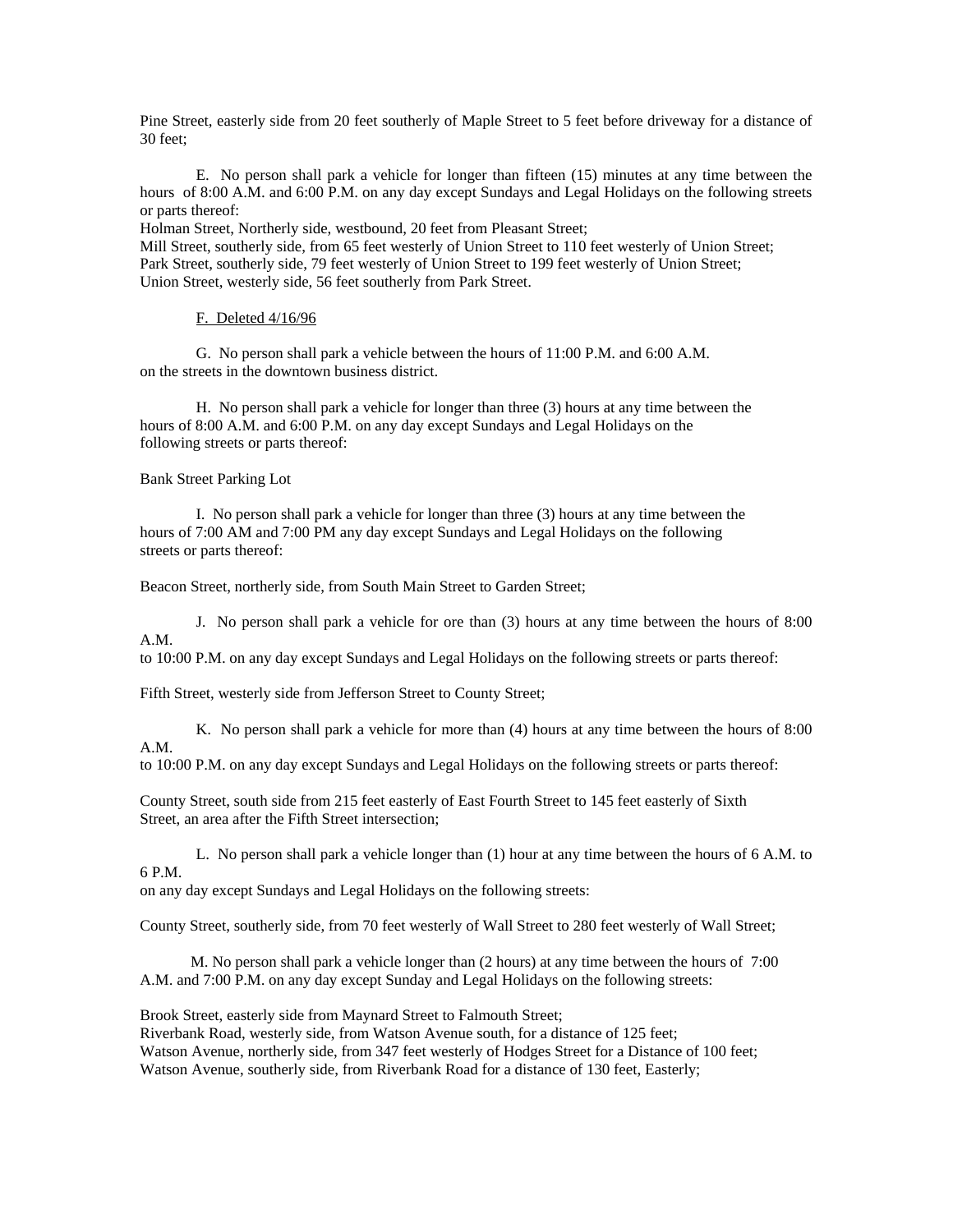Pine Street, easterly side from 20 feet southerly of Maple Street to 5 feet before driveway for a distance of 30 feet;

 E. No person shall park a vehicle for longer than fifteen (15) minutes at any time between the hours of 8:00 A.M. and 6:00 P.M. on any day except Sundays and Legal Holidays on the following streets or parts thereof:

Holman Street, Northerly side, westbound, 20 feet from Pleasant Street;

Mill Street, southerly side, from 65 feet westerly of Union Street to 110 feet westerly of Union Street; Park Street, southerly side, 79 feet westerly of Union Street to 199 feet westerly of Union Street; Union Street, westerly side, 56 feet southerly from Park Street.

## F. Deleted 4/16/96

G. No person shall park a vehicle between the hours of 11:00 P.M. and 6:00 A.M. on the streets in the downtown business district.

H. No person shall park a vehicle for longer than three (3) hours at any time between the hours of 8:00 A.M. and 6:00 P.M. on any day except Sundays and Legal Holidays on the following streets or parts thereof:

Bank Street Parking Lot

I. No person shall park a vehicle for longer than three (3) hours at any time between the hours of 7:00 AM and 7:00 PM any day except Sundays and Legal Holidays on the following streets or parts thereof:

Beacon Street, northerly side, from South Main Street to Garden Street;

J. No person shall park a vehicle for ore than (3) hours at any time between the hours of 8:00 A.M.

to 10:00 P.M. on any day except Sundays and Legal Holidays on the following streets or parts thereof:

Fifth Street, westerly side from Jefferson Street to County Street;

K. No person shall park a vehicle for more than (4) hours at any time between the hours of 8:00 A.M.

to 10:00 P.M. on any day except Sundays and Legal Holidays on the following streets or parts thereof:

County Street, south side from 215 feet easterly of East Fourth Street to 145 feet easterly of Sixth Street, an area after the Fifth Street intersection;

L. No person shall park a vehicle longer than (1) hour at any time between the hours of 6 A.M. to 6 P.M.

on any day except Sundays and Legal Holidays on the following streets:

County Street, southerly side, from 70 feet westerly of Wall Street to 280 feet westerly of Wall Street;

 M. No person shall park a vehicle longer than (2 hours) at any time between the hours of 7:00 A.M. and 7:00 P.M. on any day except Sunday and Legal Holidays on the following streets:

Brook Street, easterly side from Maynard Street to Falmouth Street;

Riverbank Road, westerly side, from Watson Avenue south, for a distance of 125 feet; Watson Avenue, northerly side, from 347 feet westerly of Hodges Street for a Distance of 100 feet; Watson Avenue, southerly side, from Riverbank Road for a distance of 130 feet, Easterly;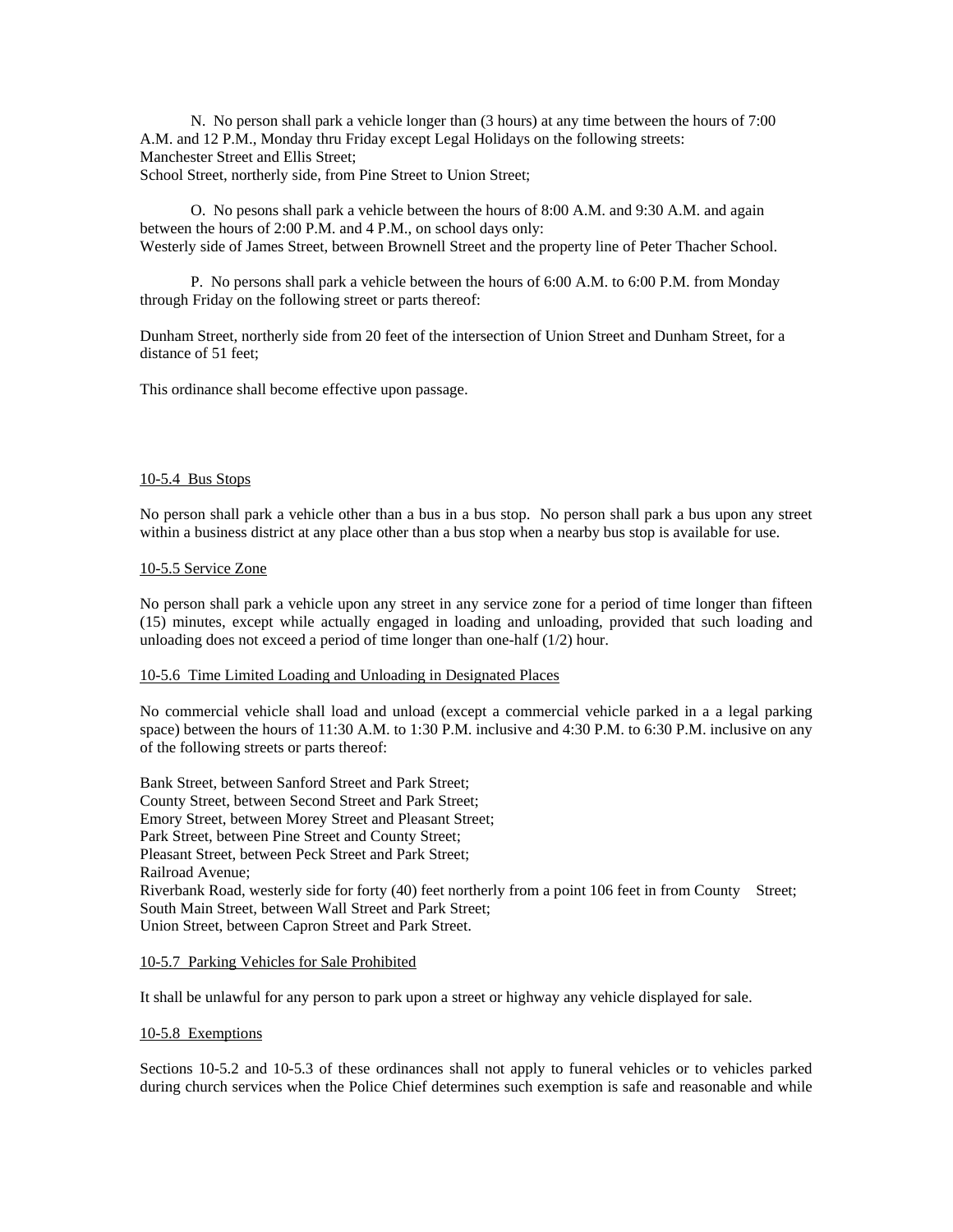N. No person shall park a vehicle longer than (3 hours) at any time between the hours of 7:00 A.M. and 12 P.M., Monday thru Friday except Legal Holidays on the following streets: Manchester Street and Ellis Street; School Street, northerly side, from Pine Street to Union Street;

 O. No pesons shall park a vehicle between the hours of 8:00 A.M. and 9:30 A.M. and again between the hours of 2:00 P.M. and 4 P.M., on school days only: Westerly side of James Street, between Brownell Street and the property line of Peter Thacher School.

 P. No persons shall park a vehicle between the hours of 6:00 A.M. to 6:00 P.M. from Monday through Friday on the following street or parts thereof:

Dunham Street, northerly side from 20 feet of the intersection of Union Street and Dunham Street, for a distance of 51 feet;

This ordinance shall become effective upon passage.

### 10-5.4 Bus Stops

No person shall park a vehicle other than a bus in a bus stop. No person shall park a bus upon any street within a business district at any place other than a bus stop when a nearby bus stop is available for use.

### 10-5.5 Service Zone

No person shall park a vehicle upon any street in any service zone for a period of time longer than fifteen (15) minutes, except while actually engaged in loading and unloading, provided that such loading and unloading does not exceed a period of time longer than one-half (1/2) hour.

## 10-5.6 Time Limited Loading and Unloading in Designated Places

No commercial vehicle shall load and unload (except a commercial vehicle parked in a a legal parking space) between the hours of 11:30 A.M. to 1:30 P.M. inclusive and 4:30 P.M. to 6:30 P.M. inclusive on any of the following streets or parts thereof:

Bank Street, between Sanford Street and Park Street; County Street, between Second Street and Park Street; Emory Street, between Morey Street and Pleasant Street; Park Street, between Pine Street and County Street; Pleasant Street, between Peck Street and Park Street; Railroad Avenue; Riverbank Road, westerly side for forty (40) feet northerly from a point 106 feet in from County Street; South Main Street, between Wall Street and Park Street; Union Street, between Capron Street and Park Street.

## 10-5.7 Parking Vehicles for Sale Prohibited

It shall be unlawful for any person to park upon a street or highway any vehicle displayed for sale.

### 10-5.8 Exemptions

Sections 10-5.2 and 10-5.3 of these ordinances shall not apply to funeral vehicles or to vehicles parked during church services when the Police Chief determines such exemption is safe and reasonable and while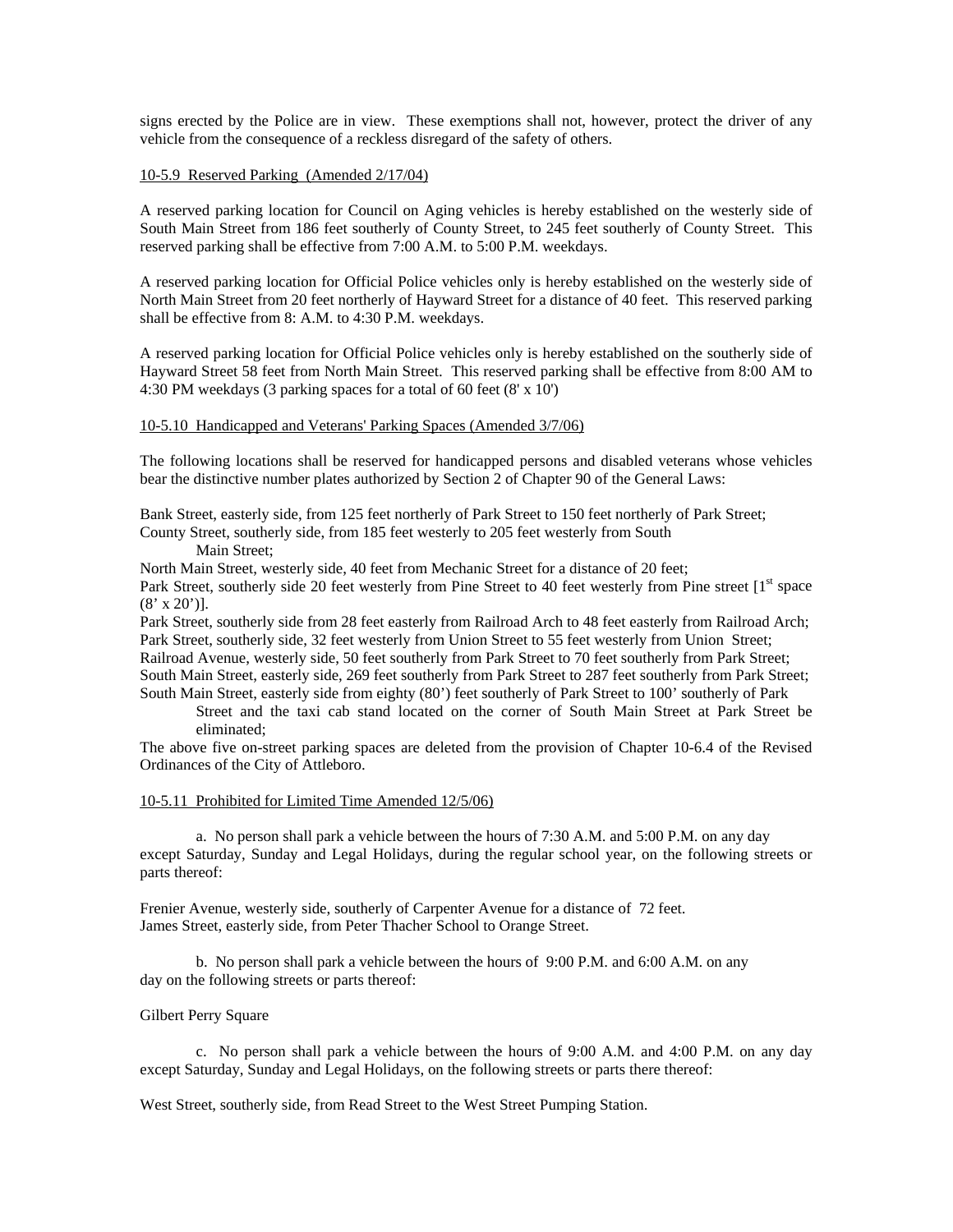signs erected by the Police are in view. These exemptions shall not, however, protect the driver of any vehicle from the consequence of a reckless disregard of the safety of others.

### 10-5.9 Reserved Parking (Amended 2/17/04)

A reserved parking location for Council on Aging vehicles is hereby established on the westerly side of South Main Street from 186 feet southerly of County Street, to 245 feet southerly of County Street. This reserved parking shall be effective from 7:00 A.M. to 5:00 P.M. weekdays.

A reserved parking location for Official Police vehicles only is hereby established on the westerly side of North Main Street from 20 feet northerly of Hayward Street for a distance of 40 feet. This reserved parking shall be effective from 8: A.M. to 4:30 P.M. weekdays.

A reserved parking location for Official Police vehicles only is hereby established on the southerly side of Hayward Street 58 feet from North Main Street. This reserved parking shall be effective from 8:00 AM to 4:30 PM weekdays (3 parking spaces for a total of 60 feet (8' x 10')

### 10-5.10 Handicapped and Veterans' Parking Spaces (Amended 3/7/06)

The following locations shall be reserved for handicapped persons and disabled veterans whose vehicles bear the distinctive number plates authorized by Section 2 of Chapter 90 of the General Laws:

Bank Street, easterly side, from 125 feet northerly of Park Street to 150 feet northerly of Park Street; County Street, southerly side, from 185 feet westerly to 205 feet westerly from South

Main Street;

North Main Street, westerly side, 40 feet from Mechanic Street for a distance of 20 feet;

Park Street, southerly side 20 feet westerly from Pine Street to 40 feet westerly from Pine street [1<sup>st</sup> space  $(8' \times 20')$ ].

Park Street, southerly side from 28 feet easterly from Railroad Arch to 48 feet easterly from Railroad Arch; Park Street, southerly side, 32 feet westerly from Union Street to 55 feet westerly from Union Street; Railroad Avenue, westerly side, 50 feet southerly from Park Street to 70 feet southerly from Park Street; South Main Street, easterly side, 269 feet southerly from Park Street to 287 feet southerly from Park Street; South Main Street, easterly side from eighty (80') feet southerly of Park Street to 100' southerly of Park

Street and the taxi cab stand located on the corner of South Main Street at Park Street be eliminated;

The above five on-street parking spaces are deleted from the provision of Chapter 10-6.4 of the Revised Ordinances of the City of Attleboro.

### 10-5.11 Prohibited for Limited Time Amended 12/5/06)

 a. No person shall park a vehicle between the hours of 7:30 A.M. and 5:00 P.M. on any day except Saturday, Sunday and Legal Holidays, during the regular school year, on the following streets or parts thereof:

Frenier Avenue, westerly side, southerly of Carpenter Avenue for a distance of 72 feet. James Street, easterly side, from Peter Thacher School to Orange Street.

 b. No person shall park a vehicle between the hours of 9:00 P.M. and 6:00 A.M. on any day on the following streets or parts thereof:

### Gilbert Perry Square

 c. No person shall park a vehicle between the hours of 9:00 A.M. and 4:00 P.M. on any day except Saturday, Sunday and Legal Holidays, on the following streets or parts there thereof:

West Street, southerly side, from Read Street to the West Street Pumping Station.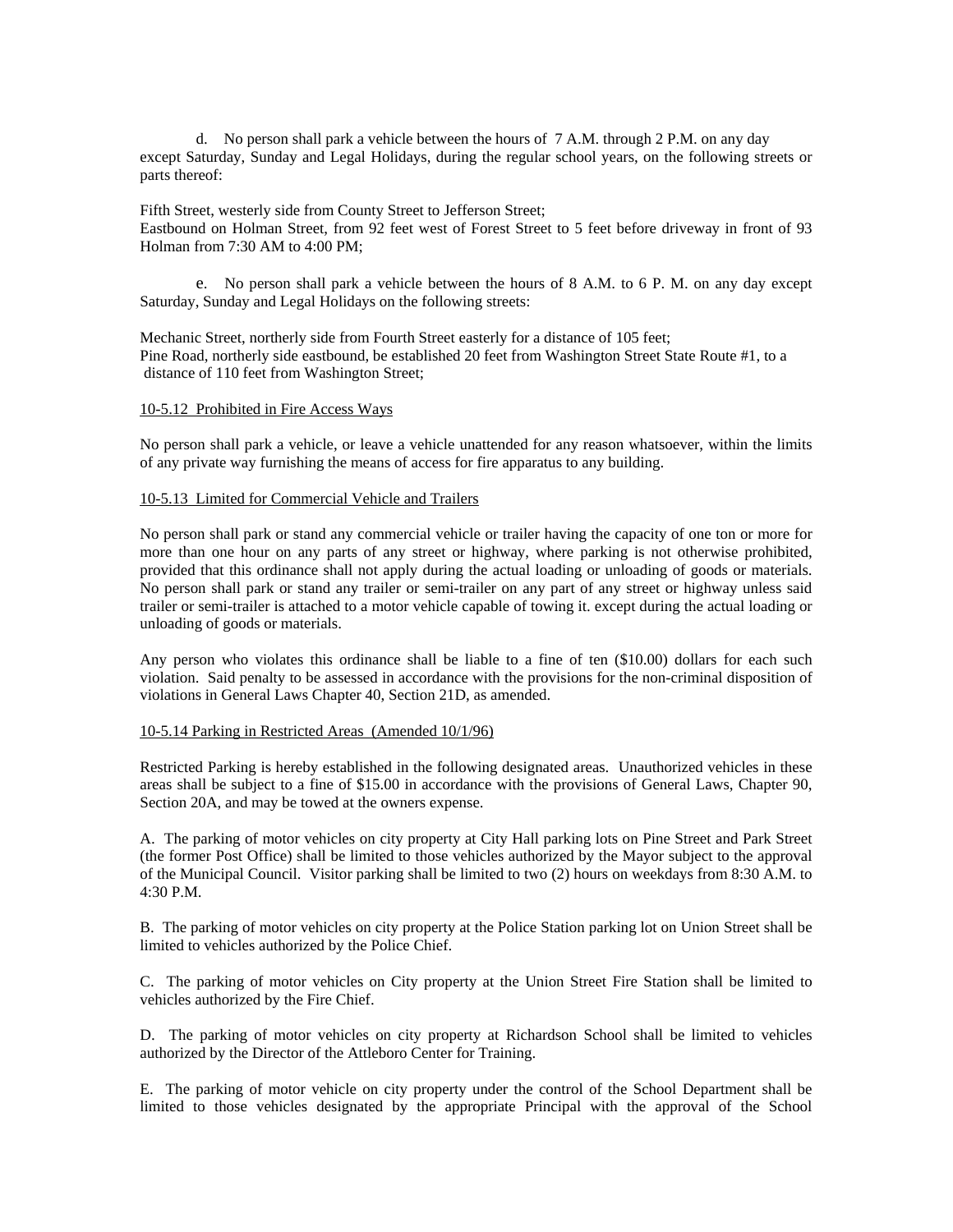d. No person shall park a vehicle between the hours of 7 A.M. through 2 P.M. on any day except Saturday, Sunday and Legal Holidays, during the regular school years, on the following streets or parts thereof:

Fifth Street, westerly side from County Street to Jefferson Street; Eastbound on Holman Street, from 92 feet west of Forest Street to 5 feet before driveway in front of 93 Holman from 7:30 AM to 4:00 PM;

e. No person shall park a vehicle between the hours of 8 A.M. to 6 P. M. on any day except Saturday, Sunday and Legal Holidays on the following streets:

Mechanic Street, northerly side from Fourth Street easterly for a distance of 105 feet; Pine Road, northerly side eastbound, be established 20 feet from Washington Street State Route #1, to a distance of 110 feet from Washington Street;

## 10-5.12 Prohibited in Fire Access Ways

No person shall park a vehicle, or leave a vehicle unattended for any reason whatsoever, within the limits of any private way furnishing the means of access for fire apparatus to any building.

### 10-5.13 Limited for Commercial Vehicle and Trailers

No person shall park or stand any commercial vehicle or trailer having the capacity of one ton or more for more than one hour on any parts of any street or highway, where parking is not otherwise prohibited, provided that this ordinance shall not apply during the actual loading or unloading of goods or materials. No person shall park or stand any trailer or semi-trailer on any part of any street or highway unless said trailer or semi-trailer is attached to a motor vehicle capable of towing it. except during the actual loading or unloading of goods or materials.

Any person who violates this ordinance shall be liable to a fine of ten (\$10.00) dollars for each such violation. Said penalty to be assessed in accordance with the provisions for the non-criminal disposition of violations in General Laws Chapter 40, Section 21D, as amended.

### 10-5.14 Parking in Restricted Areas (Amended 10/1/96)

Restricted Parking is hereby established in the following designated areas. Unauthorized vehicles in these areas shall be subject to a fine of \$15.00 in accordance with the provisions of General Laws, Chapter 90, Section 20A, and may be towed at the owners expense.

A. The parking of motor vehicles on city property at City Hall parking lots on Pine Street and Park Street (the former Post Office) shall be limited to those vehicles authorized by the Mayor subject to the approval of the Municipal Council. Visitor parking shall be limited to two (2) hours on weekdays from 8:30 A.M. to 4:30 P.M.

B. The parking of motor vehicles on city property at the Police Station parking lot on Union Street shall be limited to vehicles authorized by the Police Chief.

C. The parking of motor vehicles on City property at the Union Street Fire Station shall be limited to vehicles authorized by the Fire Chief.

D. The parking of motor vehicles on city property at Richardson School shall be limited to vehicles authorized by the Director of the Attleboro Center for Training.

E. The parking of motor vehicle on city property under the control of the School Department shall be limited to those vehicles designated by the appropriate Principal with the approval of the School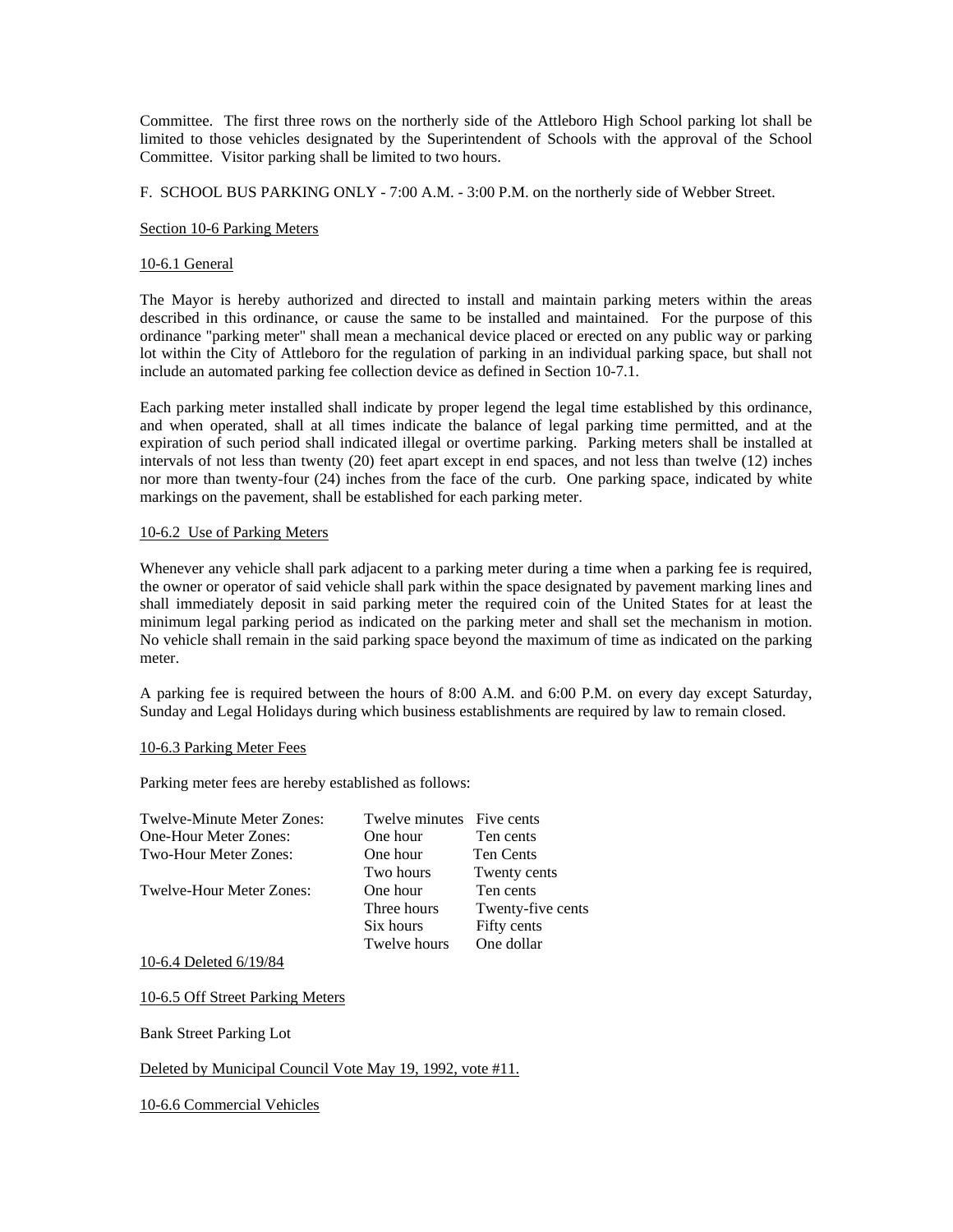Committee. The first three rows on the northerly side of the Attleboro High School parking lot shall be limited to those vehicles designated by the Superintendent of Schools with the approval of the School Committee. Visitor parking shall be limited to two hours.

F. SCHOOL BUS PARKING ONLY - 7:00 A.M. - 3:00 P.M. on the northerly side of Webber Street.

### Section 10-6 Parking Meters

## 10-6.1 General

The Mayor is hereby authorized and directed to install and maintain parking meters within the areas described in this ordinance, or cause the same to be installed and maintained. For the purpose of this ordinance "parking meter" shall mean a mechanical device placed or erected on any public way or parking lot within the City of Attleboro for the regulation of parking in an individual parking space, but shall not include an automated parking fee collection device as defined in Section 10-7.1.

Each parking meter installed shall indicate by proper legend the legal time established by this ordinance, and when operated, shall at all times indicate the balance of legal parking time permitted, and at the expiration of such period shall indicated illegal or overtime parking. Parking meters shall be installed at intervals of not less than twenty (20) feet apart except in end spaces, and not less than twelve (12) inches nor more than twenty-four (24) inches from the face of the curb. One parking space, indicated by white markings on the pavement, shall be established for each parking meter.

## 10-6.2 Use of Parking Meters

Whenever any vehicle shall park adjacent to a parking meter during a time when a parking fee is required, the owner or operator of said vehicle shall park within the space designated by pavement marking lines and shall immediately deposit in said parking meter the required coin of the United States for at least the minimum legal parking period as indicated on the parking meter and shall set the mechanism in motion. No vehicle shall remain in the said parking space beyond the maximum of time as indicated on the parking meter.

A parking fee is required between the hours of 8:00 A.M. and 6:00 P.M. on every day except Saturday, Sunday and Legal Holidays during which business establishments are required by law to remain closed.

### 10-6.3 Parking Meter Fees

Parking meter fees are hereby established as follows:

| Twelve-Minute Meter Zones:   | Twelve minutes Five cents |                   |
|------------------------------|---------------------------|-------------------|
| <b>One-Hour Meter Zones:</b> | One hour                  | Ten cents         |
| Two-Hour Meter Zones:        | One hour                  | <b>Ten Cents</b>  |
|                              | Two hours                 | Twenty cents      |
| Twelve-Hour Meter Zones:     | One hour                  | Ten cents         |
|                              | Three hours               | Twenty-five cents |
|                              | Six hours                 | Fifty cents       |
|                              | Twelve hours              | One dollar        |

10-6.4 Deleted 6/19/84

10-6.5 Off Street Parking Meters

Bank Street Parking Lot

Deleted by Municipal Council Vote May 19, 1992, vote #11.

10-6.6 Commercial Vehicles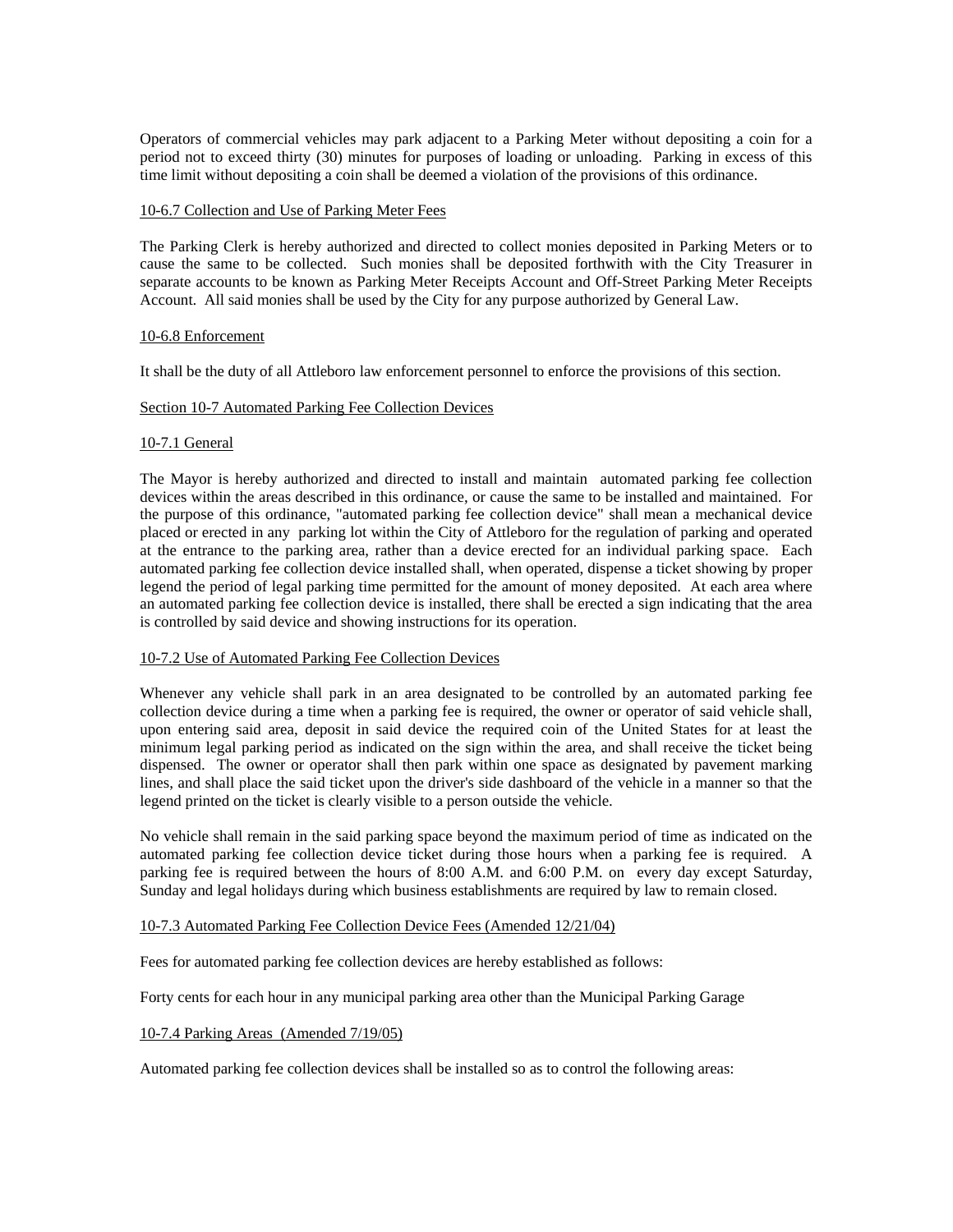Operators of commercial vehicles may park adjacent to a Parking Meter without depositing a coin for a period not to exceed thirty (30) minutes for purposes of loading or unloading. Parking in excess of this time limit without depositing a coin shall be deemed a violation of the provisions of this ordinance.

### 10-6.7 Collection and Use of Parking Meter Fees

The Parking Clerk is hereby authorized and directed to collect monies deposited in Parking Meters or to cause the same to be collected. Such monies shall be deposited forthwith with the City Treasurer in separate accounts to be known as Parking Meter Receipts Account and Off-Street Parking Meter Receipts Account. All said monies shall be used by the City for any purpose authorized by General Law.

### 10-6.8 Enforcement

It shall be the duty of all Attleboro law enforcement personnel to enforce the provisions of this section.

### Section 10-7 Automated Parking Fee Collection Devices

### 10-7.1 General

The Mayor is hereby authorized and directed to install and maintain automated parking fee collection devices within the areas described in this ordinance, or cause the same to be installed and maintained. For the purpose of this ordinance, "automated parking fee collection device" shall mean a mechanical device placed or erected in any parking lot within the City of Attleboro for the regulation of parking and operated at the entrance to the parking area, rather than a device erected for an individual parking space. Each automated parking fee collection device installed shall, when operated, dispense a ticket showing by proper legend the period of legal parking time permitted for the amount of money deposited. At each area where an automated parking fee collection device is installed, there shall be erected a sign indicating that the area is controlled by said device and showing instructions for its operation.

### 10-7.2 Use of Automated Parking Fee Collection Devices

Whenever any vehicle shall park in an area designated to be controlled by an automated parking fee collection device during a time when a parking fee is required, the owner or operator of said vehicle shall, upon entering said area, deposit in said device the required coin of the United States for at least the minimum legal parking period as indicated on the sign within the area, and shall receive the ticket being dispensed. The owner or operator shall then park within one space as designated by pavement marking lines, and shall place the said ticket upon the driver's side dashboard of the vehicle in a manner so that the legend printed on the ticket is clearly visible to a person outside the vehicle.

No vehicle shall remain in the said parking space beyond the maximum period of time as indicated on the automated parking fee collection device ticket during those hours when a parking fee is required. A parking fee is required between the hours of 8:00 A.M. and 6:00 P.M. on every day except Saturday, Sunday and legal holidays during which business establishments are required by law to remain closed.

### 10-7.3 Automated Parking Fee Collection Device Fees (Amended 12/21/04)

Fees for automated parking fee collection devices are hereby established as follows:

Forty cents for each hour in any municipal parking area other than the Municipal Parking Garage

### 10-7.4 Parking Areas (Amended 7/19/05)

Automated parking fee collection devices shall be installed so as to control the following areas: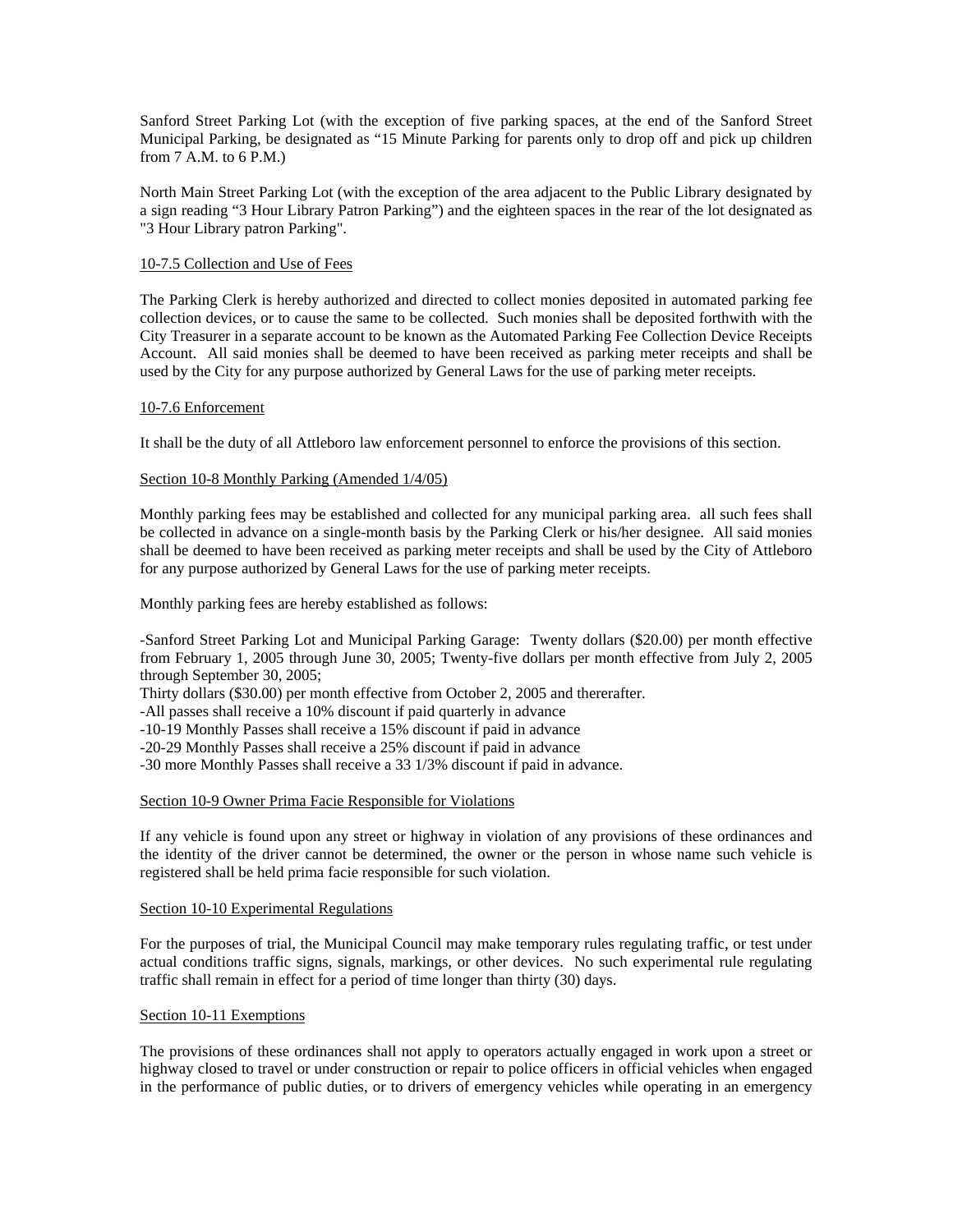Sanford Street Parking Lot (with the exception of five parking spaces, at the end of the Sanford Street Municipal Parking, be designated as "15 Minute Parking for parents only to drop off and pick up children from  $7$  A.M. to  $6$  P.M.)

North Main Street Parking Lot (with the exception of the area adjacent to the Public Library designated by a sign reading "3 Hour Library Patron Parking") and the eighteen spaces in the rear of the lot designated as "3 Hour Library patron Parking".

## 10-7.5 Collection and Use of Fees

The Parking Clerk is hereby authorized and directed to collect monies deposited in automated parking fee collection devices, or to cause the same to be collected. Such monies shall be deposited forthwith with the City Treasurer in a separate account to be known as the Automated Parking Fee Collection Device Receipts Account. All said monies shall be deemed to have been received as parking meter receipts and shall be used by the City for any purpose authorized by General Laws for the use of parking meter receipts.

### 10-7.6 Enforcement

It shall be the duty of all Attleboro law enforcement personnel to enforce the provisions of this section.

## Section 10-8 Monthly Parking (Amended  $1/4/05$ )

Monthly parking fees may be established and collected for any municipal parking area. all such fees shall be collected in advance on a single-month basis by the Parking Clerk or his/her designee. All said monies shall be deemed to have been received as parking meter receipts and shall be used by the City of Attleboro for any purpose authorized by General Laws for the use of parking meter receipts.

Monthly parking fees are hereby established as follows:

-Sanford Street Parking Lot and Municipal Parking Garage: Twenty dollars (\$20.00) per month effective from February 1, 2005 through June 30, 2005; Twenty-five dollars per month effective from July 2, 2005 through September 30, 2005;

Thirty dollars (\$30.00) per month effective from October 2, 2005 and thererafter.

-All passes shall receive a 10% discount if paid quarterly in advance

-10-19 Monthly Passes shall receive a 15% discount if paid in advance

-20-29 Monthly Passes shall receive a 25% discount if paid in advance

-30 more Monthly Passes shall receive a 33 1/3% discount if paid in advance.

### Section 10-9 Owner Prima Facie Responsible for Violations

If any vehicle is found upon any street or highway in violation of any provisions of these ordinances and the identity of the driver cannot be determined, the owner or the person in whose name such vehicle is registered shall be held prima facie responsible for such violation.

### Section 10-10 Experimental Regulations

For the purposes of trial, the Municipal Council may make temporary rules regulating traffic, or test under actual conditions traffic signs, signals, markings, or other devices. No such experimental rule regulating traffic shall remain in effect for a period of time longer than thirty (30) days.

### Section 10-11 Exemptions

The provisions of these ordinances shall not apply to operators actually engaged in work upon a street or highway closed to travel or under construction or repair to police officers in official vehicles when engaged in the performance of public duties, or to drivers of emergency vehicles while operating in an emergency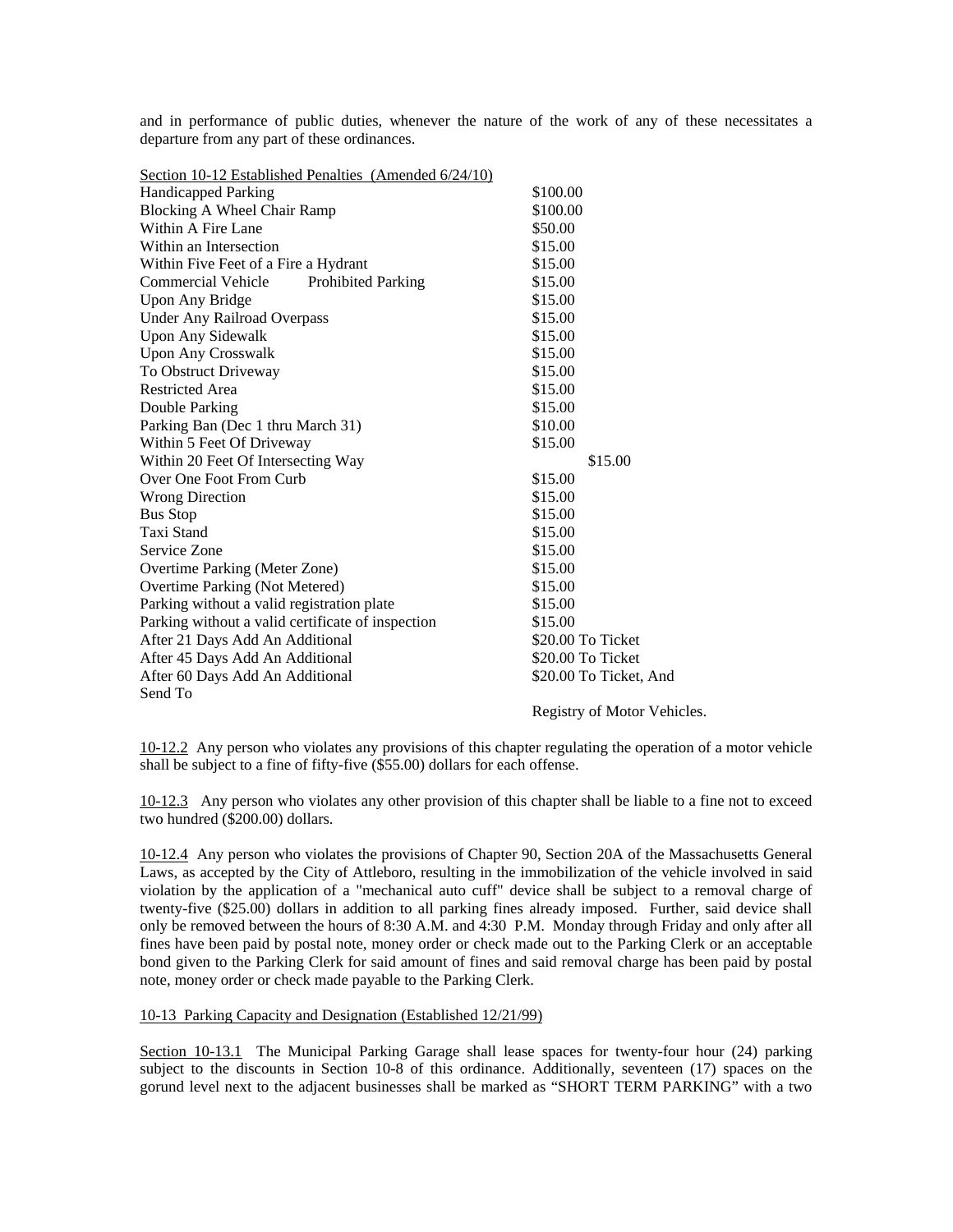and in performance of public duties, whenever the nature of the work of any of these necessitates a departure from any part of these ordinances.

| Section 10-12 Established Penalties (Amended 6/24/10)  |                                       |
|--------------------------------------------------------|---------------------------------------|
| <b>Handicapped Parking</b>                             | \$100.00                              |
| Blocking A Wheel Chair Ramp                            | \$100.00                              |
| Within A Fire Lane                                     | \$50.00                               |
| Within an Intersection                                 | \$15.00                               |
| Within Five Feet of a Fire a Hydrant                   | \$15.00                               |
| <b>Commercial Vehicle</b><br><b>Prohibited Parking</b> | \$15.00                               |
| Upon Any Bridge                                        | \$15.00                               |
| <b>Under Any Railroad Overpass</b>                     | \$15.00                               |
| <b>Upon Any Sidewalk</b>                               | \$15.00                               |
| <b>Upon Any Crosswalk</b>                              | \$15.00                               |
| To Obstruct Driveway                                   | \$15.00                               |
| <b>Restricted Area</b>                                 | \$15.00                               |
| Double Parking                                         | \$15.00                               |
| Parking Ban (Dec 1 thru March 31)                      | \$10.00                               |
| Within 5 Feet Of Driveway                              | \$15.00                               |
| Within 20 Feet Of Intersecting Way                     | \$15.00                               |
| Over One Foot From Curb                                | \$15.00                               |
| <b>Wrong Direction</b>                                 | \$15.00                               |
| <b>Bus Stop</b>                                        | \$15.00                               |
| Taxi Stand                                             | \$15.00                               |
| Service Zone                                           | \$15.00                               |
| Overtime Parking (Meter Zone)                          | \$15.00                               |
| Overtime Parking (Not Metered)                         | \$15.00                               |
| Parking without a valid registration plate             | \$15.00                               |
| Parking without a valid certificate of inspection      | \$15.00                               |
| After 21 Days Add An Additional                        | \$20.00 To Ticket                     |
| After 45 Days Add An Additional                        | \$20.00 To Ticket                     |
| After 60 Days Add An Additional                        | \$20.00 To Ticket, And                |
| Send To                                                |                                       |
|                                                        | $\sim$ $\sim$ $\sim$<br><b>TT 1 1</b> |

Registry of Motor Vehicles.

10-12.2 Any person who violates any provisions of this chapter regulating the operation of a motor vehicle shall be subject to a fine of fifty-five (\$55.00) dollars for each offense.

10-12.3 Any person who violates any other provision of this chapter shall be liable to a fine not to exceed two hundred (\$200.00) dollars.

10-12.4 Any person who violates the provisions of Chapter 90, Section 20A of the Massachusetts General Laws, as accepted by the City of Attleboro, resulting in the immobilization of the vehicle involved in said violation by the application of a "mechanical auto cuff" device shall be subject to a removal charge of twenty-five (\$25.00) dollars in addition to all parking fines already imposed. Further, said device shall only be removed between the hours of 8:30 A.M. and 4:30 P.M. Monday through Friday and only after all fines have been paid by postal note, money order or check made out to the Parking Clerk or an acceptable bond given to the Parking Clerk for said amount of fines and said removal charge has been paid by postal note, money order or check made payable to the Parking Clerk.

## 10-13 Parking Capacity and Designation (Established 12/21/99)

Section 10-13.1 The Municipal Parking Garage shall lease spaces for twenty-four hour (24) parking subject to the discounts in Section 10-8 of this ordinance. Additionally, seventeen (17) spaces on the gorund level next to the adjacent businesses shall be marked as "SHORT TERM PARKING" with a two